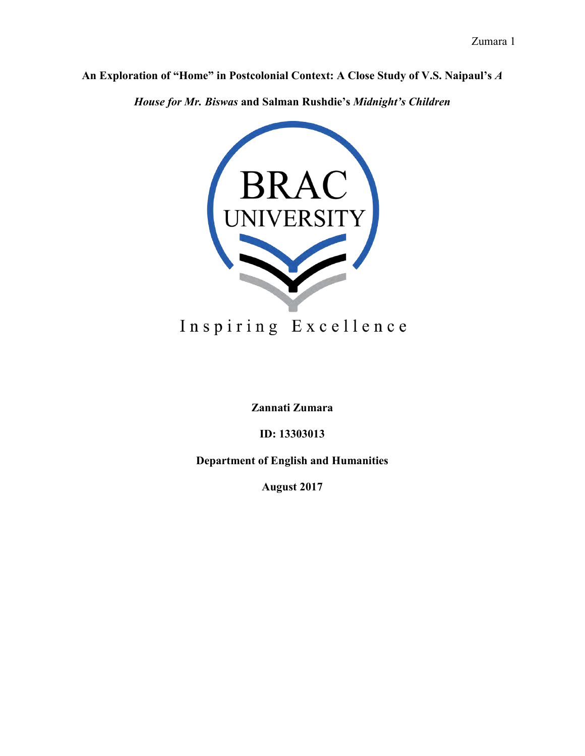**An Exploration of "Home" in Postcolonial Context: A Close Study of V.S. Naipaul's** *A* 

*House for Mr. Biswas* **and Salman Rushdie's** *Midnight's Children*



# Inspiring Excellence

**Zannati Zumara**

**ID: 13303013**

**Department of English and Humanities**

**August 2017**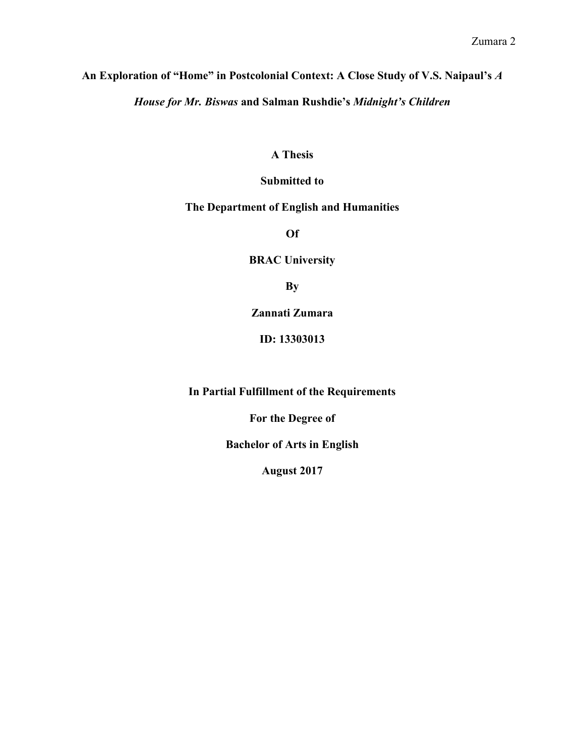# **An Exploration of "Home" in Postcolonial Context: A Close Study of V.S. Naipaul's** *A*

*House for Mr. Biswas* **and Salman Rushdie's** *Midnight's Children*

## **A Thesis**

# **Submitted to**

# **The Department of English and Humanities**

**Of**

**BRAC University**

**By**

**Zannati Zumara**

**ID: 13303013**

**In Partial Fulfillment of the Requirements**

**For the Degree of**

**Bachelor of Arts in English**

**August 2017**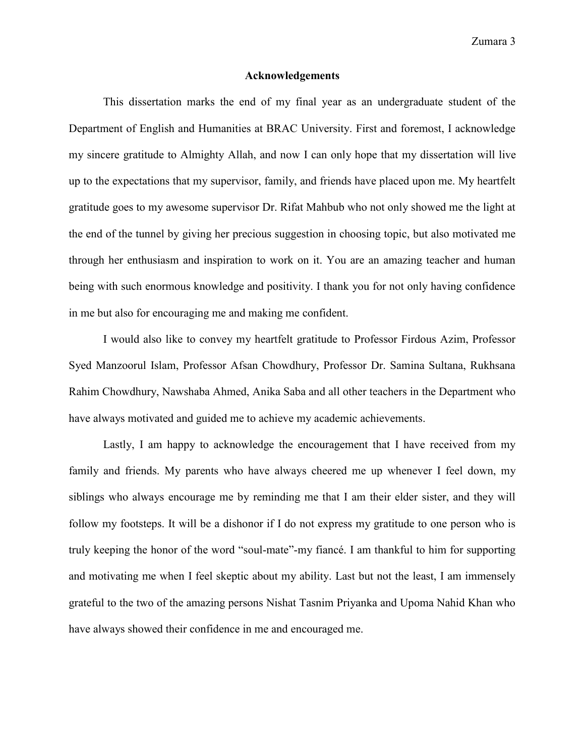Zumara 3

#### **Acknowledgements**

This dissertation marks the end of my final year as an undergraduate student of the Department of English and Humanities at BRAC University. First and foremost, I acknowledge my sincere gratitude to Almighty Allah, and now I can only hope that my dissertation will live up to the expectations that my supervisor, family, and friends have placed upon me. My heartfelt gratitude goes to my awesome supervisor Dr. Rifat Mahbub who not only showed me the light at the end of the tunnel by giving her precious suggestion in choosing topic, but also motivated me through her enthusiasm and inspiration to work on it. You are an amazing teacher and human being with such enormous knowledge and positivity. I thank you for not only having confidence in me but also for encouraging me and making me confident.

I would also like to convey my heartfelt gratitude to Professor Firdous Azim, Professor Syed Manzoorul Islam, Professor Afsan Chowdhury, Professor Dr. Samina Sultana, Rukhsana Rahim Chowdhury, Nawshaba Ahmed, Anika Saba and all other teachers in the Department who have always motivated and guided me to achieve my academic achievements.

Lastly, I am happy to acknowledge the encouragement that I have received from my family and friends. My parents who have always cheered me up whenever I feel down, my siblings who always encourage me by reminding me that I am their elder sister, and they will follow my footsteps. It will be a dishonor if I do not express my gratitude to one person who is truly keeping the honor of the word "soul-mate"-my fiancé. I am thankful to him for supporting and motivating me when I feel skeptic about my ability. Last but not the least, I am immensely grateful to the two of the amazing persons Nishat Tasnim Priyanka and Upoma Nahid Khan who have always showed their confidence in me and encouraged me.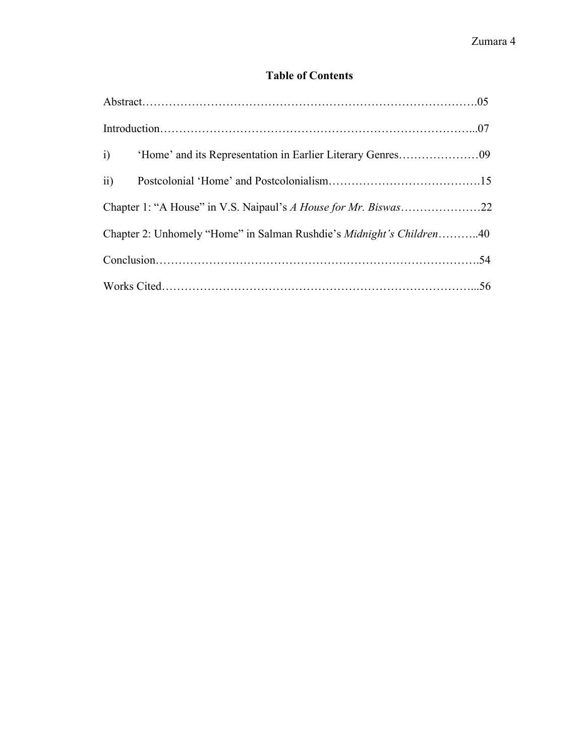# **Table of Contents**

| Chapter 2: Unhomely "Home" in Salman Rushdie's Midnight's Children40 |  |
|----------------------------------------------------------------------|--|
|                                                                      |  |
|                                                                      |  |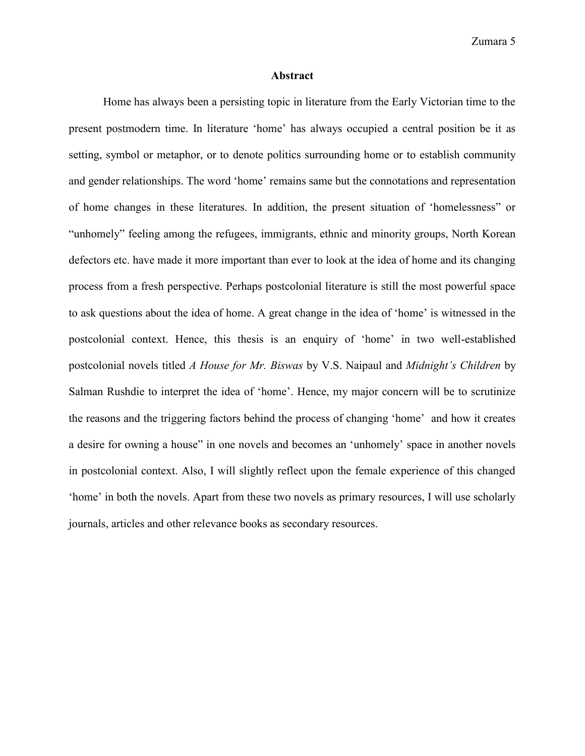#### **Abstract**

Home has always been a persisting topic in literature from the Early Victorian time to the present postmodern time. In literature 'home' has always occupied a central position be it as setting, symbol or metaphor, or to denote politics surrounding home or to establish community and gender relationships. The word 'home' remains same but the connotations and representation of home changes in these literatures. In addition, the present situation of 'homelessness" or "unhomely" feeling among the refugees, immigrants, ethnic and minority groups, North Korean defectors etc. have made it more important than ever to look at the idea of home and its changing process from a fresh perspective. Perhaps postcolonial literature is still the most powerful space to ask questions about the idea of home. A great change in the idea of 'home' is witnessed in the postcolonial context. Hence, this thesis is an enquiry of 'home' in two well-established postcolonial novels titled *A House for Mr. Biswas* by V.S. Naipaul and *Midnight's Children* by Salman Rushdie to interpret the idea of 'home'. Hence, my major concern will be to scrutinize the reasons and the triggering factors behind the process of changing 'home' and how it creates a desire for owning a house" in one novels and becomes an 'unhomely' space in another novels in postcolonial context. Also, I will slightly reflect upon the female experience of this changed 'home' in both the novels. Apart from these two novels as primary resources, I will use scholarly journals, articles and other relevance books as secondary resources.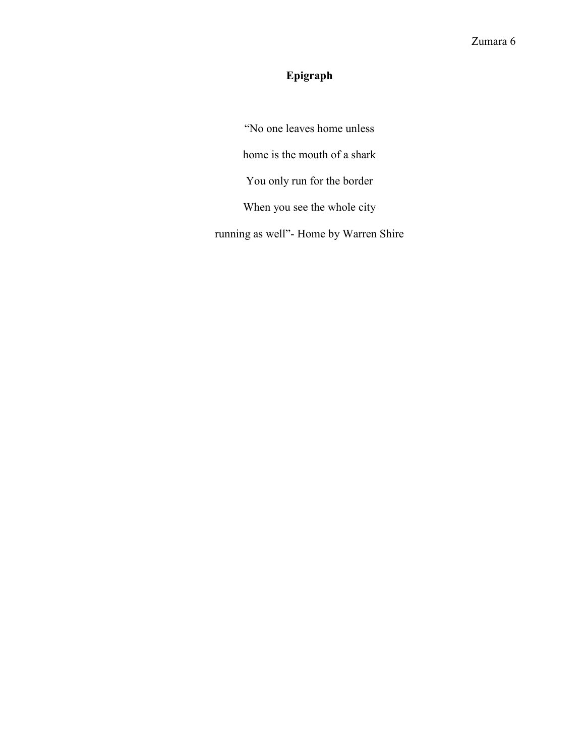# **Epigraph**

"No one leaves home unless home is the mouth of a shark You only run for the border When you see the whole city running as well"- Home by Warren Shire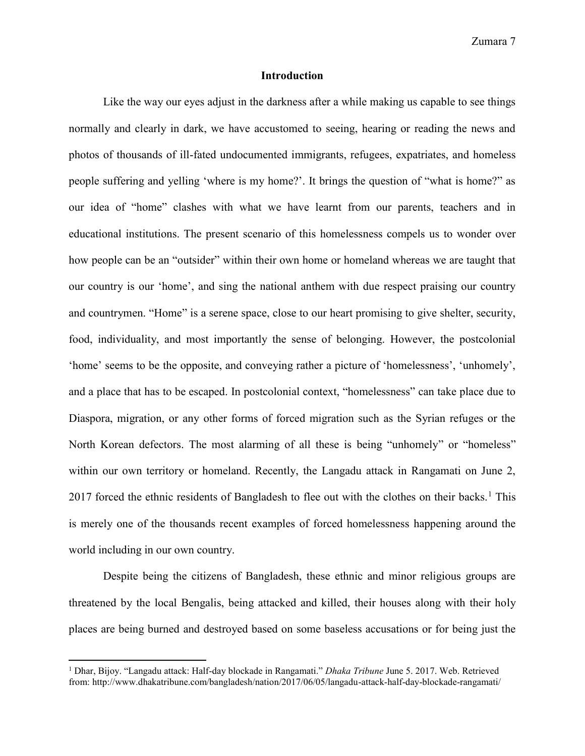#### **Introduction**

Like the way our eyes adjust in the darkness after a while making us capable to see things normally and clearly in dark, we have accustomed to seeing, hearing or reading the news and photos of thousands of ill-fated undocumented immigrants, refugees, expatriates, and homeless people suffering and yelling 'where is my home?'. It brings the question of "what is home?" as our idea of "home" clashes with what we have learnt from our parents, teachers and in educational institutions. The present scenario of this homelessness compels us to wonder over how people can be an "outsider" within their own home or homeland whereas we are taught that our country is our 'home', and sing the national anthem with due respect praising our country and countrymen. "Home" is a serene space, close to our heart promising to give shelter, security, food, individuality, and most importantly the sense of belonging. However, the postcolonial 'home' seems to be the opposite, and conveying rather a picture of 'homelessness', 'unhomely', and a place that has to be escaped. In postcolonial context, "homelessness" can take place due to Diaspora, migration, or any other forms of forced migration such as the Syrian refuges or the North Korean defectors. The most alarming of all these is being "unhomely" or "homeless" within our own territory or homeland. Recently, the Langadu attack in Rangamati on June 2, 2017 forced the ethnic residents of Bangladesh to flee out with the clothes on their backs.<sup>1</sup> This is merely one of the thousands recent examples of forced homelessness happening around the world including in our own country.

Despite being the citizens of Bangladesh, these ethnic and minor religious groups are threatened by the local Bengalis, being attacked and killed, their houses along with their holy places are being burned and destroyed based on some baseless accusations or for being just the

 $\overline{a}$ 

<sup>&</sup>lt;sup>1</sup> Dhar, Bijoy. "Langadu attack: Half-day blockade in Rangamati." *Dhaka Tribune June 5. 2017. Web. Retrieved* from: http://www.dhakatribune.com/bangladesh/nation/2017/06/05/langadu-attack-half-day-blockade-rangamati/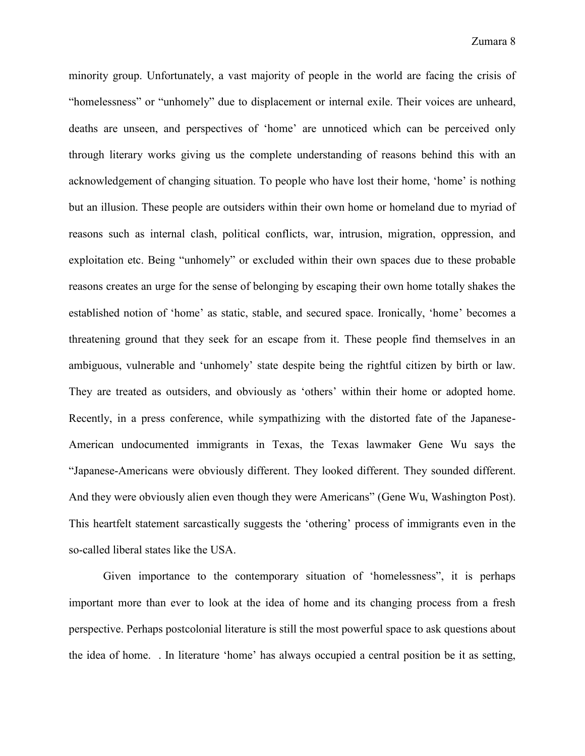minority group. Unfortunately, a vast majority of people in the world are facing the crisis of "homelessness" or "unhomely" due to displacement or internal exile. Their voices are unheard, deaths are unseen, and perspectives of 'home' are unnoticed which can be perceived only through literary works giving us the complete understanding of reasons behind this with an acknowledgement of changing situation. To people who have lost their home, 'home' is nothing but an illusion. These people are outsiders within their own home or homeland due to myriad of reasons such as internal clash, political conflicts, war, intrusion, migration, oppression, and exploitation etc. Being "unhomely" or excluded within their own spaces due to these probable reasons creates an urge for the sense of belonging by escaping their own home totally shakes the established notion of 'home' as static, stable, and secured space. Ironically, 'home' becomes a threatening ground that they seek for an escape from it. These people find themselves in an ambiguous, vulnerable and 'unhomely' state despite being the rightful citizen by birth or law. They are treated as outsiders, and obviously as 'others' within their home or adopted home. Recently, in a press conference, while sympathizing with the distorted fate of the Japanese-American undocumented immigrants in Texas, the Texas lawmaker Gene Wu says the "Japanese-Americans were obviously different. They looked different. They sounded different. And they were obviously alien even though they were Americans" (Gene Wu, Washington Post). This heartfelt statement sarcastically suggests the 'othering' process of immigrants even in the so-called liberal states like the USA.

Given importance to the contemporary situation of 'homelessness", it is perhaps important more than ever to look at the idea of home and its changing process from a fresh perspective. Perhaps postcolonial literature is still the most powerful space to ask questions about the idea of home. . In literature 'home' has always occupied a central position be it as setting,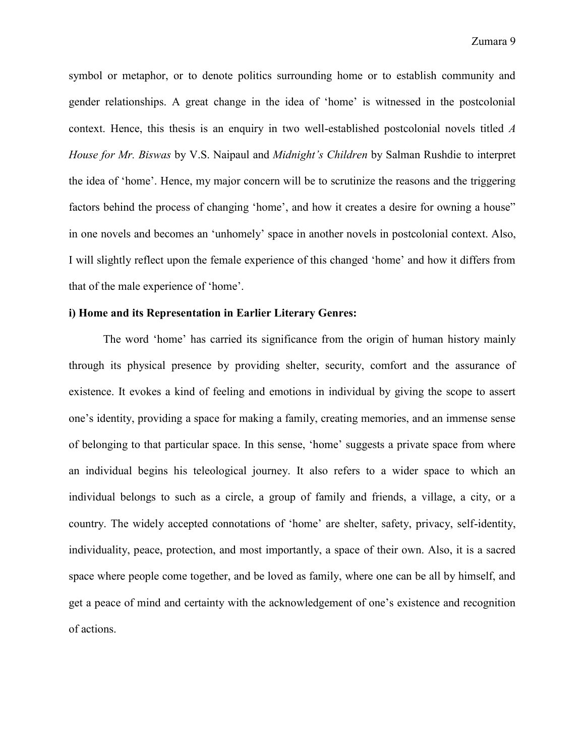symbol or metaphor, or to denote politics surrounding home or to establish community and gender relationships. A great change in the idea of 'home' is witnessed in the postcolonial context. Hence, this thesis is an enquiry in two well-established postcolonial novels titled *A House for Mr. Biswas* by V.S. Naipaul and *Midnight's Children* by Salman Rushdie to interpret the idea of 'home'. Hence, my major concern will be to scrutinize the reasons and the triggering factors behind the process of changing 'home', and how it creates a desire for owning a house" in one novels and becomes an 'unhomely' space in another novels in postcolonial context. Also, I will slightly reflect upon the female experience of this changed 'home' and how it differs from that of the male experience of 'home'.

#### **i) Home and its Representation in Earlier Literary Genres:**

The word 'home' has carried its significance from the origin of human history mainly through its physical presence by providing shelter, security, comfort and the assurance of existence. It evokes a kind of feeling and emotions in individual by giving the scope to assert one's identity, providing a space for making a family, creating memories, and an immense sense of belonging to that particular space. In this sense, 'home' suggests a private space from where an individual begins his teleological journey. It also refers to a wider space to which an individual belongs to such as a circle, a group of family and friends, a village, a city, or a country. The widely accepted connotations of 'home' are shelter, safety, privacy, self-identity, individuality, peace, protection, and most importantly, a space of their own. Also, it is a sacred space where people come together, and be loved as family, where one can be all by himself, and get a peace of mind and certainty with the acknowledgement of one's existence and recognition of actions.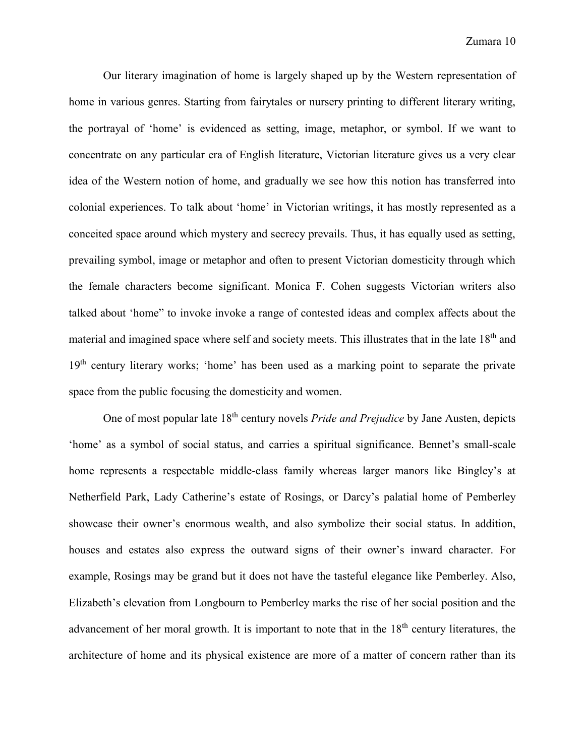Our literary imagination of home is largely shaped up by the Western representation of home in various genres. Starting from fairytales or nursery printing to different literary writing, the portrayal of 'home' is evidenced as setting, image, metaphor, or symbol. If we want to concentrate on any particular era of English literature, Victorian literature gives us a very clear idea of the Western notion of home, and gradually we see how this notion has transferred into colonial experiences. To talk about 'home' in Victorian writings, it has mostly represented as a conceited space around which mystery and secrecy prevails. Thus, it has equally used as setting, prevailing symbol, image or metaphor and often to present Victorian domesticity through which the female characters become significant. Monica F. Cohen suggests Victorian writers also talked about 'home" to invoke invoke a range of contested ideas and complex affects about the material and imagined space where self and society meets. This illustrates that in the late 18<sup>th</sup> and 19<sup>th</sup> century literary works; 'home' has been used as a marking point to separate the private space from the public focusing the domesticity and women.

One of most popular late 18th century novels *Pride and Prejudice* by Jane Austen, depicts 'home' as a symbol of social status, and carries a spiritual significance. Bennet's small-scale home represents a respectable middle-class family whereas larger manors like Bingley's at Netherfield Park, Lady Catherine's estate of Rosings, or Darcy's palatial home of Pemberley showcase their owner's enormous wealth, and also symbolize their social status. In addition, houses and estates also express the outward signs of their owner's inward character. For example, Rosings may be grand but it does not have the tasteful elegance like Pemberley. Also, Elizabeth's elevation from Longbourn to Pemberley marks the rise of her social position and the advancement of her moral growth. It is important to note that in the  $18<sup>th</sup>$  century literatures, the architecture of home and its physical existence are more of a matter of concern rather than its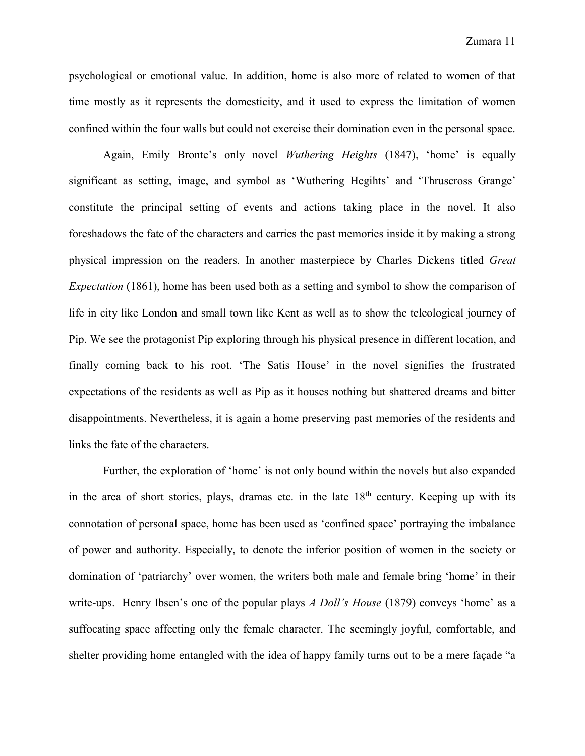psychological or emotional value. In addition, home is also more of related to women of that time mostly as it represents the domesticity, and it used to express the limitation of women confined within the four walls but could not exercise their domination even in the personal space.

Again, Emily Bronte's only novel *Wuthering Heights* (1847), 'home' is equally significant as setting, image, and symbol as 'Wuthering Hegihts' and 'Thruscross Grange' constitute the principal setting of events and actions taking place in the novel. It also foreshadows the fate of the characters and carries the past memories inside it by making a strong physical impression on the readers. In another masterpiece by Charles Dickens titled *Great Expectation* (1861), home has been used both as a setting and symbol to show the comparison of life in city like London and small town like Kent as well as to show the teleological journey of Pip. We see the protagonist Pip exploring through his physical presence in different location, and finally coming back to his root. 'The Satis House' in the novel signifies the frustrated expectations of the residents as well as Pip as it houses nothing but shattered dreams and bitter disappointments. Nevertheless, it is again a home preserving past memories of the residents and links the fate of the characters.

Further, the exploration of 'home' is not only bound within the novels but also expanded in the area of short stories, plays, dramas etc. in the late  $18<sup>th</sup>$  century. Keeping up with its connotation of personal space, home has been used as 'confined space' portraying the imbalance of power and authority. Especially, to denote the inferior position of women in the society or domination of 'patriarchy' over women, the writers both male and female bring 'home' in their write-ups. Henry Ibsen's one of the popular plays *A Doll's House* (1879) conveys 'home' as a suffocating space affecting only the female character. The seemingly joyful, comfortable, and shelter providing home entangled with the idea of happy family turns out to be a mere façade "a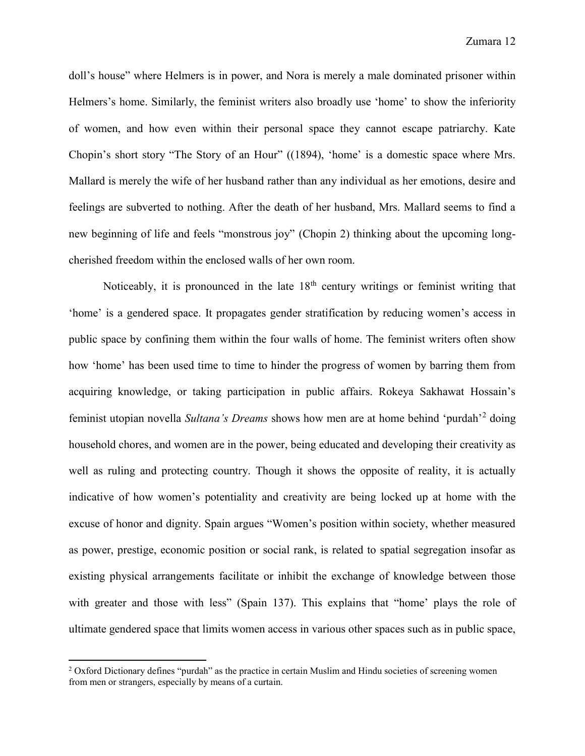doll's house" where Helmers is in power, and Nora is merely a male dominated prisoner within Helmers's home. Similarly, the feminist writers also broadly use 'home' to show the inferiority of women, and how even within their personal space they cannot escape patriarchy. Kate Chopin's short story "The Story of an Hour" ((1894), 'home' is a domestic space where Mrs. Mallard is merely the wife of her husband rather than any individual as her emotions, desire and feelings are subverted to nothing. After the death of her husband, Mrs. Mallard seems to find a new beginning of life and feels "monstrous joy" (Chopin 2) thinking about the upcoming longcherished freedom within the enclosed walls of her own room.

Noticeably, it is pronounced in the late  $18<sup>th</sup>$  century writings or feminist writing that 'home' is a gendered space. It propagates gender stratification by reducing women's access in public space by confining them within the four walls of home. The feminist writers often show how 'home' has been used time to time to hinder the progress of women by barring them from acquiring knowledge, or taking participation in public affairs. Rokeya Sakhawat Hossain's feminist utopian novella *Sultana's Dreams* shows how men are at home behind 'purdah'<sup>2</sup> doing household chores, and women are in the power, being educated and developing their creativity as well as ruling and protecting country. Though it shows the opposite of reality, it is actually indicative of how women's potentiality and creativity are being locked up at home with the excuse of honor and dignity. Spain argues "Women's position within society, whether measured as power, prestige, economic position or social rank, is related to spatial segregation insofar as existing physical arrangements facilitate or inhibit the exchange of knowledge between those with greater and those with less" (Spain 137). This explains that "home' plays the role of ultimate gendered space that limits women access in various other spaces such as in public space,

 $\overline{a}$ 

<sup>&</sup>lt;sup>2</sup> Oxford Dictionary defines "purdah" as the practice in certain Muslim and Hindu societies of screening women from men or strangers, especially by means of a curtain.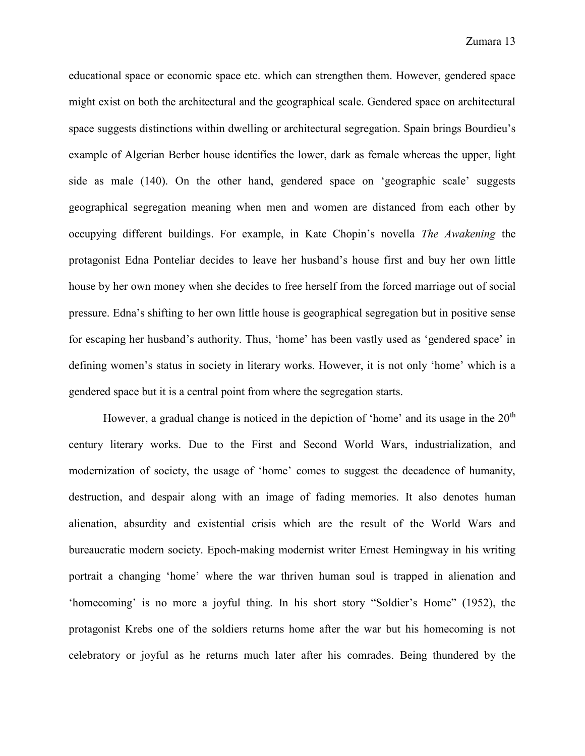educational space or economic space etc. which can strengthen them. However, gendered space might exist on both the architectural and the geographical scale. Gendered space on architectural space suggests distinctions within dwelling or architectural segregation. Spain brings Bourdieu's example of Algerian Berber house identifies the lower, dark as female whereas the upper, light side as male (140). On the other hand, gendered space on 'geographic scale' suggests geographical segregation meaning when men and women are distanced from each other by occupying different buildings. For example, in Kate Chopin's novella *The Awakening* the protagonist Edna Ponteliar decides to leave her husband's house first and buy her own little house by her own money when she decides to free herself from the forced marriage out of social pressure. Edna's shifting to her own little house is geographical segregation but in positive sense for escaping her husband's authority. Thus, 'home' has been vastly used as 'gendered space' in defining women's status in society in literary works. However, it is not only 'home' which is a gendered space but it is a central point from where the segregation starts.

However, a gradual change is noticed in the depiction of 'home' and its usage in the  $20<sup>th</sup>$ century literary works. Due to the First and Second World Wars, industrialization, and modernization of society, the usage of 'home' comes to suggest the decadence of humanity, destruction, and despair along with an image of fading memories. It also denotes human alienation, absurdity and existential crisis which are the result of the World Wars and bureaucratic modern society. Epoch-making modernist writer Ernest Hemingway in his writing portrait a changing 'home' where the war thriven human soul is trapped in alienation and 'homecoming' is no more a joyful thing. In his short story "Soldier's Home" (1952), the protagonist Krebs one of the soldiers returns home after the war but his homecoming is not celebratory or joyful as he returns much later after his comrades. Being thundered by the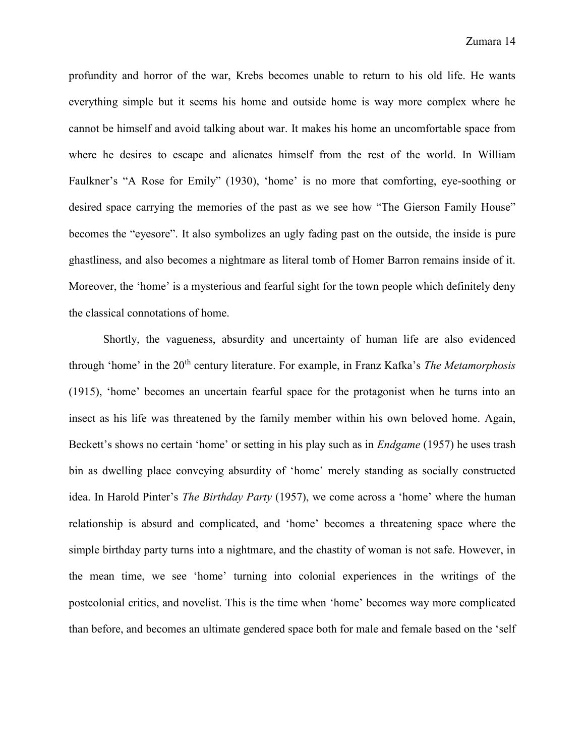profundity and horror of the war, Krebs becomes unable to return to his old life. He wants everything simple but it seems his home and outside home is way more complex where he cannot be himself and avoid talking about war. It makes his home an uncomfortable space from where he desires to escape and alienates himself from the rest of the world. In William Faulkner's "A Rose for Emily" (1930), 'home' is no more that comforting, eye-soothing or desired space carrying the memories of the past as we see how "The Gierson Family House" becomes the "eyesore". It also symbolizes an ugly fading past on the outside, the inside is pure ghastliness, and also becomes a nightmare as literal tomb of Homer Barron remains inside of it. Moreover, the 'home' is a mysterious and fearful sight for the town people which definitely deny the classical connotations of home.

Shortly, the vagueness, absurdity and uncertainty of human life are also evidenced through 'home' in the 20th century literature. For example, in Franz Kafka's *The Metamorphosis* (1915), 'home' becomes an uncertain fearful space for the protagonist when he turns into an insect as his life was threatened by the family member within his own beloved home. Again, Beckett's shows no certain 'home' or setting in his play such as in *Endgame* (1957) he uses trash bin as dwelling place conveying absurdity of 'home' merely standing as socially constructed idea. In Harold Pinter's *The Birthday Party* (1957), we come across a 'home' where the human relationship is absurd and complicated, and 'home' becomes a threatening space where the simple birthday party turns into a nightmare, and the chastity of woman is not safe. However, in the mean time, we see 'home' turning into colonial experiences in the writings of the postcolonial critics, and novelist. This is the time when 'home' becomes way more complicated than before, and becomes an ultimate gendered space both for male and female based on the 'self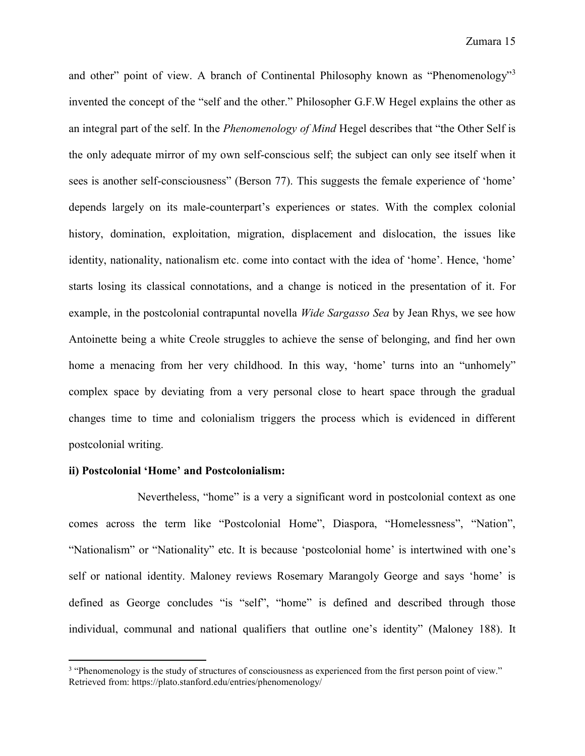and other" point of view. A branch of Continental Philosophy known as "Phenomenology"<sup>3</sup> invented the concept of the "self and the other." Philosopher G.F.W Hegel explains the other as an integral part of the self. In the *Phenomenology of Mind* Hegel describes that "the Other Self is the only adequate mirror of my own self-conscious self; the subject can only see itself when it sees is another self-consciousness" (Berson 77). This suggests the female experience of 'home' depends largely on its male-counterpart's experiences or states. With the complex colonial history, domination, exploitation, migration, displacement and dislocation, the issues like identity, nationality, nationalism etc. come into contact with the idea of 'home'. Hence, 'home' starts losing its classical connotations, and a change is noticed in the presentation of it. For example, in the postcolonial contrapuntal novella *Wide Sargasso Sea* by Jean Rhys, we see how Antoinette being a white Creole struggles to achieve the sense of belonging, and find her own home a menacing from her very childhood. In this way, 'home' turns into an "unhomely" complex space by deviating from a very personal close to heart space through the gradual changes time to time and colonialism triggers the process which is evidenced in different postcolonial writing.

#### **ii) Postcolonial 'Home' and Postcolonialism:**

 $\overline{a}$ 

Nevertheless, "home" is a very a significant word in postcolonial context as one comes across the term like "Postcolonial Home", Diaspora, "Homelessness", "Nation", "Nationalism" or "Nationality" etc. It is because 'postcolonial home' is intertwined with one's self or national identity. Maloney reviews Rosemary Marangoly George and says 'home' is defined as George concludes "is "self", "home" is defined and described through those individual, communal and national qualifiers that outline one's identity" (Maloney 188). It

<sup>3</sup> "Phenomenology is the study of structures of consciousness as experienced from the first person point of view." Retrieved from: https://plato.stanford.edu/entries/phenomenology/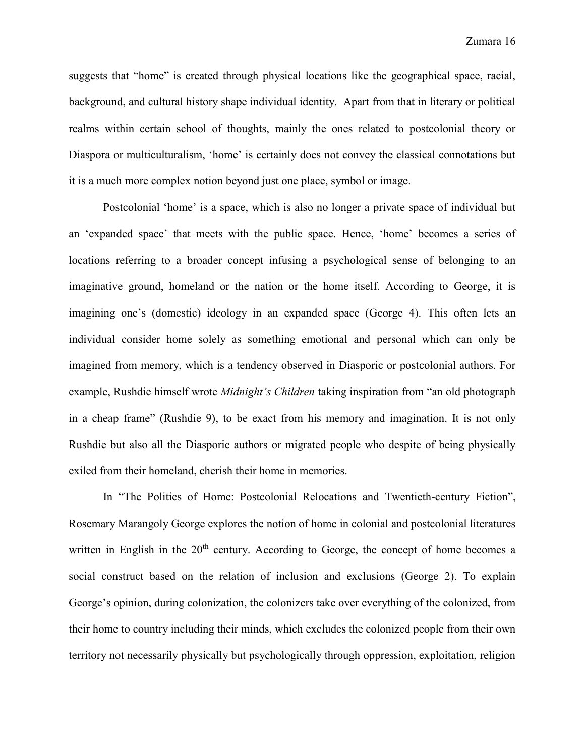suggests that "home" is created through physical locations like the geographical space, racial, background, and cultural history shape individual identity. Apart from that in literary or political realms within certain school of thoughts, mainly the ones related to postcolonial theory or Diaspora or multiculturalism, 'home' is certainly does not convey the classical connotations but it is a much more complex notion beyond just one place, symbol or image.

Postcolonial 'home' is a space, which is also no longer a private space of individual but an 'expanded space' that meets with the public space. Hence, 'home' becomes a series of locations referring to a broader concept infusing a psychological sense of belonging to an imaginative ground, homeland or the nation or the home itself. According to George, it is imagining one's (domestic) ideology in an expanded space (George 4). This often lets an individual consider home solely as something emotional and personal which can only be imagined from memory, which is a tendency observed in Diasporic or postcolonial authors. For example, Rushdie himself wrote *Midnight's Children* taking inspiration from "an old photograph in a cheap frame" (Rushdie 9), to be exact from his memory and imagination. It is not only Rushdie but also all the Diasporic authors or migrated people who despite of being physically exiled from their homeland, cherish their home in memories.

In "The Politics of Home: Postcolonial Relocations and Twentieth-century Fiction", Rosemary Marangoly George explores the notion of home in colonial and postcolonial literatures written in English in the  $20<sup>th</sup>$  century. According to George, the concept of home becomes a social construct based on the relation of inclusion and exclusions (George 2). To explain George's opinion, during colonization, the colonizers take over everything of the colonized, from their home to country including their minds, which excludes the colonized people from their own territory not necessarily physically but psychologically through oppression, exploitation, religion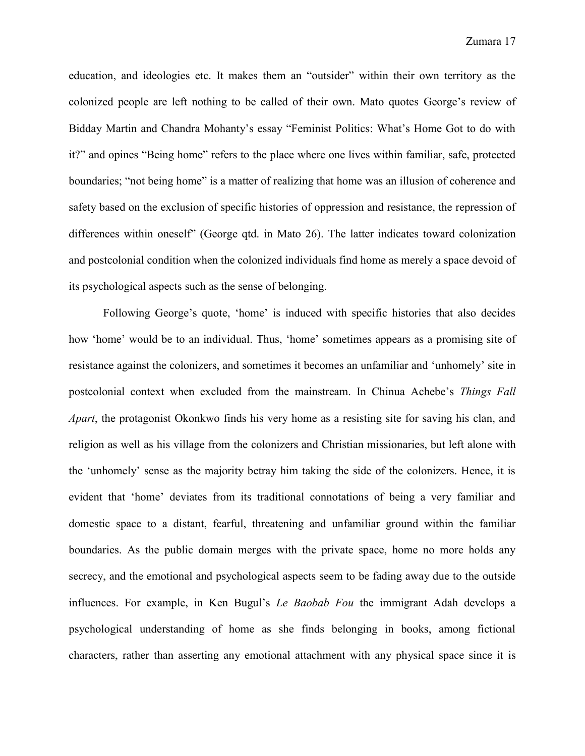education, and ideologies etc. It makes them an "outsider" within their own territory as the colonized people are left nothing to be called of their own. Mato quotes George's review of Bidday Martin and Chandra Mohanty's essay "Feminist Politics: What's Home Got to do with it?" and opines "Being home" refers to the place where one lives within familiar, safe, protected boundaries; "not being home" is a matter of realizing that home was an illusion of coherence and safety based on the exclusion of specific histories of oppression and resistance, the repression of differences within oneself" (George qtd. in Mato 26). The latter indicates toward colonization and postcolonial condition when the colonized individuals find home as merely a space devoid of its psychological aspects such as the sense of belonging.

Following George's quote, 'home' is induced with specific histories that also decides how 'home' would be to an individual. Thus, 'home' sometimes appears as a promising site of resistance against the colonizers, and sometimes it becomes an unfamiliar and 'unhomely' site in postcolonial context when excluded from the mainstream. In Chinua Achebe's *Things Fall Apart*, the protagonist Okonkwo finds his very home as a resisting site for saving his clan, and religion as well as his village from the colonizers and Christian missionaries, but left alone with the 'unhomely' sense as the majority betray him taking the side of the colonizers. Hence, it is evident that 'home' deviates from its traditional connotations of being a very familiar and domestic space to a distant, fearful, threatening and unfamiliar ground within the familiar boundaries. As the public domain merges with the private space, home no more holds any secrecy, and the emotional and psychological aspects seem to be fading away due to the outside influences. For example, in Ken Bugul's *Le Baobab Fou* the immigrant Adah develops a psychological understanding of home as she finds belonging in books, among fictional characters, rather than asserting any emotional attachment with any physical space since it is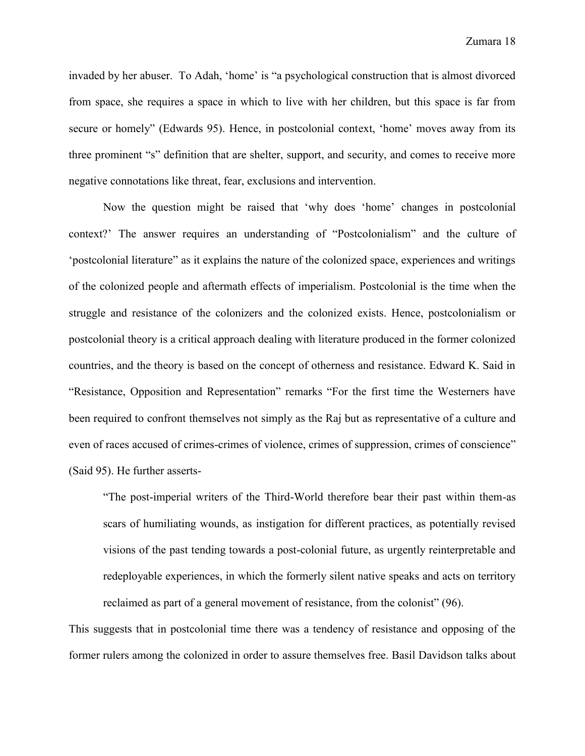invaded by her abuser. To Adah, 'home' is "a psychological construction that is almost divorced from space, she requires a space in which to live with her children, but this space is far from secure or homely" (Edwards 95). Hence, in postcolonial context, 'home' moves away from its three prominent "s" definition that are shelter, support, and security, and comes to receive more negative connotations like threat, fear, exclusions and intervention.

Now the question might be raised that 'why does 'home' changes in postcolonial context?' The answer requires an understanding of "Postcolonialism" and the culture of 'postcolonial literature" as it explains the nature of the colonized space, experiences and writings of the colonized people and aftermath effects of imperialism. Postcolonial is the time when the struggle and resistance of the colonizers and the colonized exists. Hence, postcolonialism or postcolonial theory is a critical approach dealing with literature produced in the former colonized countries, and the theory is based on the concept of otherness and resistance. Edward K. Said in "Resistance, Opposition and Representation" remarks "For the first time the Westerners have been required to confront themselves not simply as the Raj but as representative of a culture and even of races accused of crimes-crimes of violence, crimes of suppression, crimes of conscience" (Said 95). He further asserts-

"The post-imperial writers of the Third-World therefore bear their past within them-as scars of humiliating wounds, as instigation for different practices, as potentially revised visions of the past tending towards a post-colonial future, as urgently reinterpretable and redeployable experiences, in which the formerly silent native speaks and acts on territory reclaimed as part of a general movement of resistance, from the colonist" (96).

This suggests that in postcolonial time there was a tendency of resistance and opposing of the former rulers among the colonized in order to assure themselves free. Basil Davidson talks about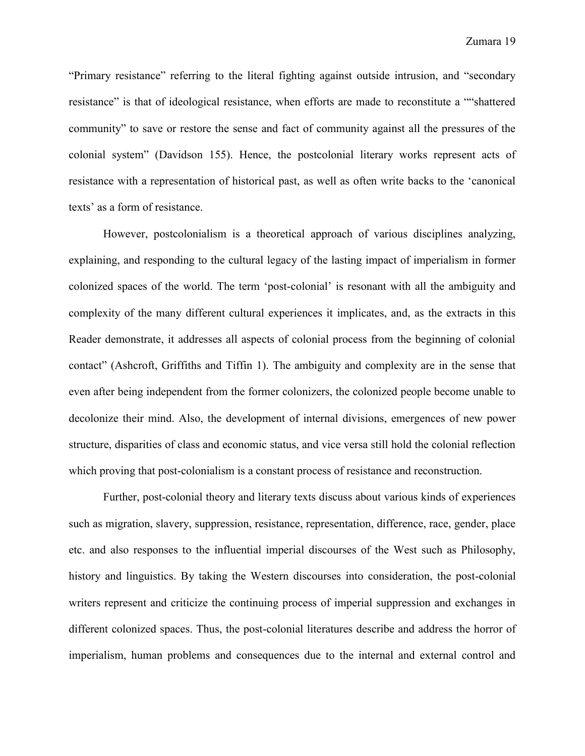"Primary resistance" referring to the literal fighting against outside intrusion, and "secondary resistance" is that of ideological resistance, when efforts are made to reconstitute a ""shattered community" to save or restore the sense and fact of community against all the pressures of the colonial system" (Davidson 155). Hence, the postcolonial literary works represent acts of resistance with a representation of historical past, as well as often write backs to the 'canonical texts' as a form of resistance.

However, postcolonialism is a theoretical approach of various disciplines analyzing, explaining, and responding to the cultural legacy of the lasting impact of imperialism in former colonized spaces of the world. The term 'post-colonial' is resonant with all the ambiguity and complexity of the many different cultural experiences it implicates, and, as the extracts in this Reader demonstrate, it addresses all aspects of colonial process from the beginning of colonial contact" (Ashcroft, Griffiths and Tiffin 1). The ambiguity and complexity are in the sense that even after being independent from the former colonizers, the colonized people become unable to decolonize their mind. Also, the development of internal divisions, emergences of new power structure, disparities of class and economic status, and vice versa still hold the colonial reflection which proving that post-colonialism is a constant process of resistance and reconstruction.

Further, post-colonial theory and literary texts discuss about various kinds of experiences such as migration, slavery, suppression, resistance, representation, difference, race, gender, place etc. and also responses to the influential imperial discourses of the West such as Philosophy, history and linguistics. By taking the Western discourses into consideration, the post-colonial writers represent and criticize the continuing process of imperial suppression and exchanges in different colonized spaces. Thus, the post-colonial literatures describe and address the horror of imperialism, human problems and consequences due to the internal and external control and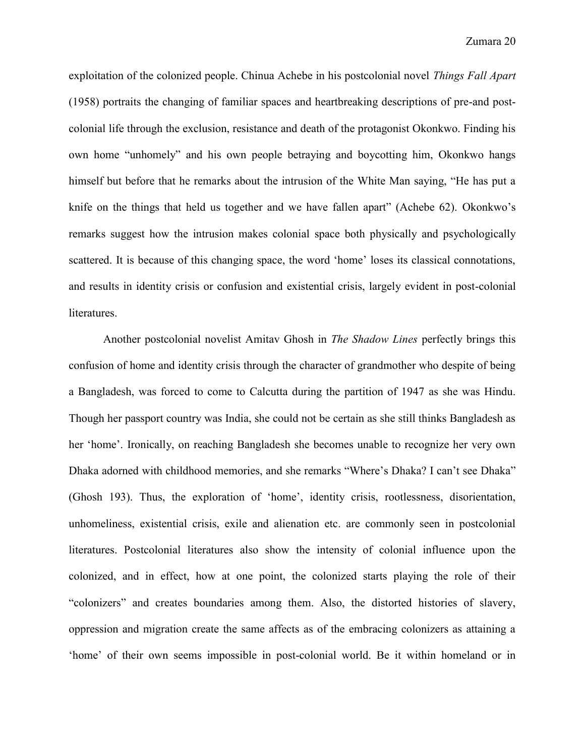exploitation of the colonized people. Chinua Achebe in his postcolonial novel *Things Fall Apart* (1958) portraits the changing of familiar spaces and heartbreaking descriptions of pre-and postcolonial life through the exclusion, resistance and death of the protagonist Okonkwo. Finding his own home "unhomely" and his own people betraying and boycotting him, Okonkwo hangs himself but before that he remarks about the intrusion of the White Man saying, "He has put a knife on the things that held us together and we have fallen apart" (Achebe 62). Okonkwo's remarks suggest how the intrusion makes colonial space both physically and psychologically scattered. It is because of this changing space, the word 'home' loses its classical connotations, and results in identity crisis or confusion and existential crisis, largely evident in post-colonial literatures.

Another postcolonial novelist Amitav Ghosh in *The Shadow Lines* perfectly brings this confusion of home and identity crisis through the character of grandmother who despite of being a Bangladesh, was forced to come to Calcutta during the partition of 1947 as she was Hindu. Though her passport country was India, she could not be certain as she still thinks Bangladesh as her 'home'. Ironically, on reaching Bangladesh she becomes unable to recognize her very own Dhaka adorned with childhood memories, and she remarks "Where's Dhaka? I can't see Dhaka" (Ghosh 193). Thus, the exploration of 'home', identity crisis, rootlessness, disorientation, unhomeliness, existential crisis, exile and alienation etc. are commonly seen in postcolonial literatures. Postcolonial literatures also show the intensity of colonial influence upon the colonized, and in effect, how at one point, the colonized starts playing the role of their "colonizers" and creates boundaries among them. Also, the distorted histories of slavery, oppression and migration create the same affects as of the embracing colonizers as attaining a 'home' of their own seems impossible in post-colonial world. Be it within homeland or in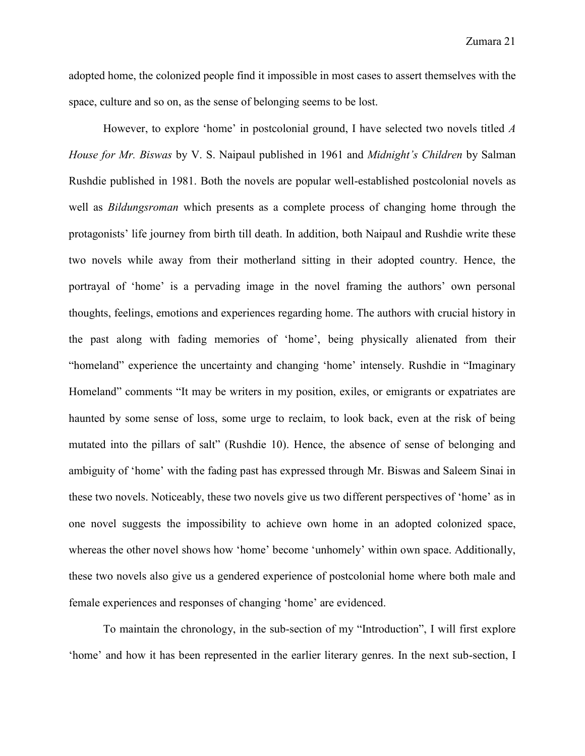adopted home, the colonized people find it impossible in most cases to assert themselves with the space, culture and so on, as the sense of belonging seems to be lost.

However, to explore 'home' in postcolonial ground, I have selected two novels titled *A House for Mr. Biswas* by V. S. Naipaul published in 1961 and *Midnight's Children* by Salman Rushdie published in 1981. Both the novels are popular well-established postcolonial novels as well as *Bildungsroman* which presents as a complete process of changing home through the protagonists' life journey from birth till death. In addition, both Naipaul and Rushdie write these two novels while away from their motherland sitting in their adopted country. Hence, the portrayal of 'home' is a pervading image in the novel framing the authors' own personal thoughts, feelings, emotions and experiences regarding home. The authors with crucial history in the past along with fading memories of 'home', being physically alienated from their "homeland" experience the uncertainty and changing 'home' intensely. Rushdie in "Imaginary Homeland" comments "It may be writers in my position, exiles, or emigrants or expatriates are haunted by some sense of loss, some urge to reclaim, to look back, even at the risk of being mutated into the pillars of salt" (Rushdie 10). Hence, the absence of sense of belonging and ambiguity of 'home' with the fading past has expressed through Mr. Biswas and Saleem Sinai in these two novels. Noticeably, these two novels give us two different perspectives of 'home' as in one novel suggests the impossibility to achieve own home in an adopted colonized space, whereas the other novel shows how 'home' become 'unhomely' within own space. Additionally, these two novels also give us a gendered experience of postcolonial home where both male and female experiences and responses of changing 'home' are evidenced.

To maintain the chronology, in the sub-section of my "Introduction", I will first explore 'home' and how it has been represented in the earlier literary genres. In the next sub-section, I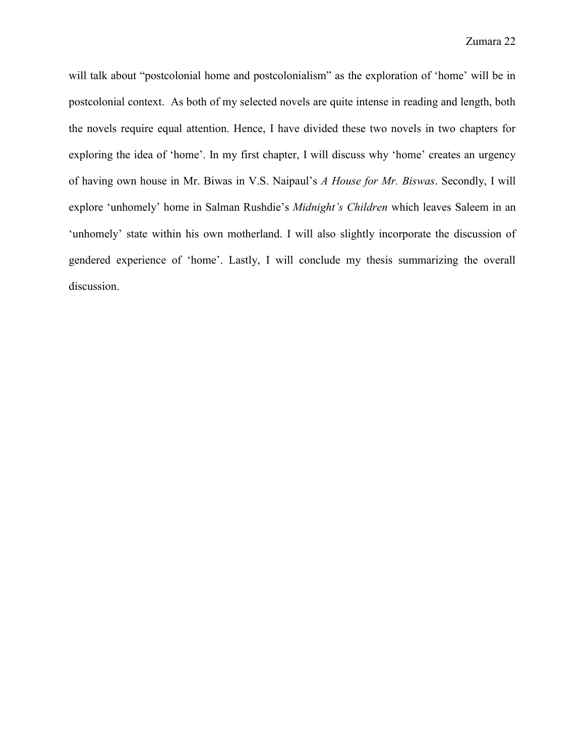will talk about "postcolonial home and postcolonialism" as the exploration of 'home' will be in postcolonial context. As both of my selected novels are quite intense in reading and length, both the novels require equal attention. Hence, I have divided these two novels in two chapters for exploring the idea of 'home'. In my first chapter, I will discuss why 'home' creates an urgency of having own house in Mr. Biwas in V.S. Naipaul's *A House for Mr. Biswas*. Secondly, I will explore 'unhomely' home in Salman Rushdie's *Midnight's Children* which leaves Saleem in an 'unhomely' state within his own motherland. I will also slightly incorporate the discussion of gendered experience of 'home'. Lastly, I will conclude my thesis summarizing the overall discussion.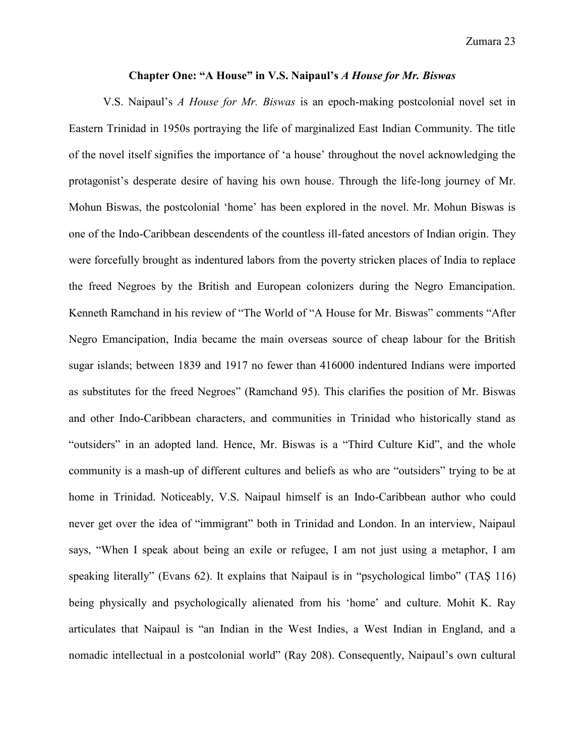#### **Chapter One: "A House" in V.S. Naipaul's** *A House for Mr. Biswas*

V.S. Naipaul's *A House for Mr. Biswas* is an epoch-making postcolonial novel set in Eastern Trinidad in 1950s portraying the life of marginalized East Indian Community. The title of the novel itself signifies the importance of 'a house' throughout the novel acknowledging the protagonist's desperate desire of having his own house. Through the life-long journey of Mr. Mohun Biswas, the postcolonial 'home' has been explored in the novel. Mr. Mohun Biswas is one of the Indo-Caribbean descendents of the countless ill-fated ancestors of Indian origin. They were forcefully brought as indentured labors from the poverty stricken places of India to replace the freed Negroes by the British and European colonizers during the Negro Emancipation. Kenneth Ramchand in his review of "The World of "A House for Mr. Biswas" comments "After Negro Emancipation, India became the main overseas source of cheap labour for the British sugar islands; between 1839 and 1917 no fewer than 416000 indentured Indians were imported as substitutes for the freed Negroes" (Ramchand 95). This clarifies the position of Mr. Biswas and other Indo-Caribbean characters, and communities in Trinidad who historically stand as "outsiders" in an adopted land. Hence, Mr. Biswas is a "Third Culture Kid", and the whole community is a mash-up of different cultures and beliefs as who are "outsiders" trying to be at home in Trinidad. Noticeably, V.S. Naipaul himself is an Indo-Caribbean author who could never get over the idea of "immigrant" both in Trinidad and London. In an interview, Naipaul says, "When I speak about being an exile or refugee, I am not just using a metaphor, I am speaking literally" (Evans 62). It explains that Naipaul is in "psychological limbo" (TAŞ 116) being physically and psychologically alienated from his 'home' and culture. Mohit K. Ray articulates that Naipaul is "an Indian in the West Indies, a West Indian in England, and a nomadic intellectual in a postcolonial world" (Ray 208). Consequently, Naipaul's own cultural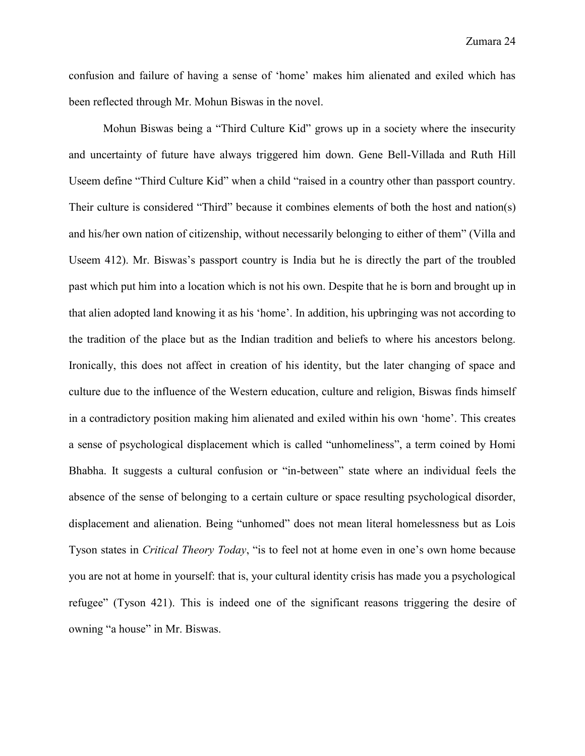confusion and failure of having a sense of 'home' makes him alienated and exiled which has been reflected through Mr. Mohun Biswas in the novel.

Mohun Biswas being a "Third Culture Kid" grows up in a society where the insecurity and uncertainty of future have always triggered him down. Gene Bell-Villada and Ruth Hill Useem define "Third Culture Kid" when a child "raised in a country other than passport country. Their culture is considered "Third" because it combines elements of both the host and nation(s) and his/her own nation of citizenship, without necessarily belonging to either of them" (Villa and Useem 412). Mr. Biswas's passport country is India but he is directly the part of the troubled past which put him into a location which is not his own. Despite that he is born and brought up in that alien adopted land knowing it as his 'home'. In addition, his upbringing was not according to the tradition of the place but as the Indian tradition and beliefs to where his ancestors belong. Ironically, this does not affect in creation of his identity, but the later changing of space and culture due to the influence of the Western education, culture and religion, Biswas finds himself in a contradictory position making him alienated and exiled within his own 'home'. This creates a sense of psychological displacement which is called "unhomeliness", a term coined by Homi Bhabha. It suggests a cultural confusion or "in-between" state where an individual feels the absence of the sense of belonging to a certain culture or space resulting psychological disorder, displacement and alienation. Being "unhomed" does not mean literal homelessness but as Lois Tyson states in *Critical Theory Today*, "is to feel not at home even in one's own home because you are not at home in yourself: that is, your cultural identity crisis has made you a psychological refugee" (Tyson 421). This is indeed one of the significant reasons triggering the desire of owning "a house" in Mr. Biswas.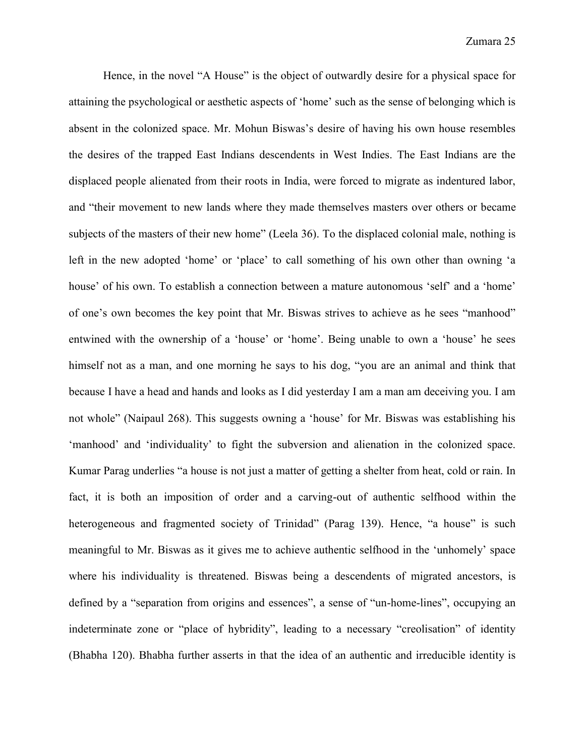Hence, in the novel "A House" is the object of outwardly desire for a physical space for attaining the psychological or aesthetic aspects of 'home' such as the sense of belonging which is absent in the colonized space. Mr. Mohun Biswas's desire of having his own house resembles the desires of the trapped East Indians descendents in West Indies. The East Indians are the displaced people alienated from their roots in India, were forced to migrate as indentured labor, and "their movement to new lands where they made themselves masters over others or became subjects of the masters of their new home" (Leela 36). To the displaced colonial male, nothing is left in the new adopted 'home' or 'place' to call something of his own other than owning 'a house' of his own. To establish a connection between a mature autonomous 'self' and a 'home' of one's own becomes the key point that Mr. Biswas strives to achieve as he sees "manhood" entwined with the ownership of a 'house' or 'home'. Being unable to own a 'house' he sees himself not as a man, and one morning he says to his dog, "you are an animal and think that because I have a head and hands and looks as I did yesterday I am a man am deceiving you. I am not whole" (Naipaul 268). This suggests owning a 'house' for Mr. Biswas was establishing his 'manhood' and 'individuality' to fight the subversion and alienation in the colonized space. Kumar Parag underlies "a house is not just a matter of getting a shelter from heat, cold or rain. In fact, it is both an imposition of order and a carving-out of authentic selfhood within the heterogeneous and fragmented society of Trinidad" (Parag 139). Hence, "a house" is such meaningful to Mr. Biswas as it gives me to achieve authentic selfhood in the 'unhomely' space where his individuality is threatened. Biswas being a descendents of migrated ancestors, is defined by a "separation from origins and essences", a sense of "un-home-lines", occupying an indeterminate zone or "place of hybridity", leading to a necessary "creolisation" of identity (Bhabha 120). Bhabha further asserts in that the idea of an authentic and irreducible identity is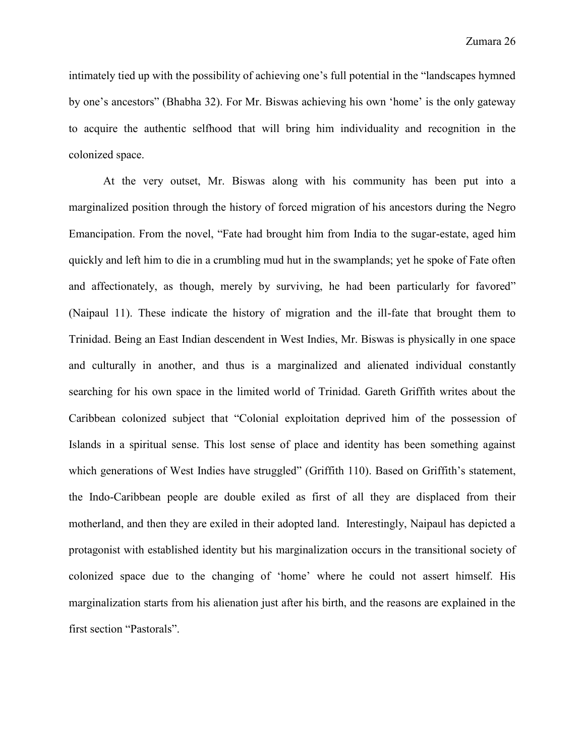intimately tied up with the possibility of achieving one's full potential in the "landscapes hymned by one's ancestors" (Bhabha 32). For Mr. Biswas achieving his own 'home' is the only gateway to acquire the authentic selfhood that will bring him individuality and recognition in the colonized space.

At the very outset, Mr. Biswas along with his community has been put into a marginalized position through the history of forced migration of his ancestors during the Negro Emancipation. From the novel, "Fate had brought him from India to the sugar-estate, aged him quickly and left him to die in a crumbling mud hut in the swamplands; yet he spoke of Fate often and affectionately, as though, merely by surviving, he had been particularly for favored" (Naipaul 11). These indicate the history of migration and the ill-fate that brought them to Trinidad. Being an East Indian descendent in West Indies, Mr. Biswas is physically in one space and culturally in another, and thus is a marginalized and alienated individual constantly searching for his own space in the limited world of Trinidad. Gareth Griffith writes about the Caribbean colonized subject that "Colonial exploitation deprived him of the possession of Islands in a spiritual sense. This lost sense of place and identity has been something against which generations of West Indies have struggled" (Griffith 110). Based on Griffith's statement, the Indo-Caribbean people are double exiled as first of all they are displaced from their motherland, and then they are exiled in their adopted land. Interestingly, Naipaul has depicted a protagonist with established identity but his marginalization occurs in the transitional society of colonized space due to the changing of 'home' where he could not assert himself. His marginalization starts from his alienation just after his birth, and the reasons are explained in the first section "Pastorals".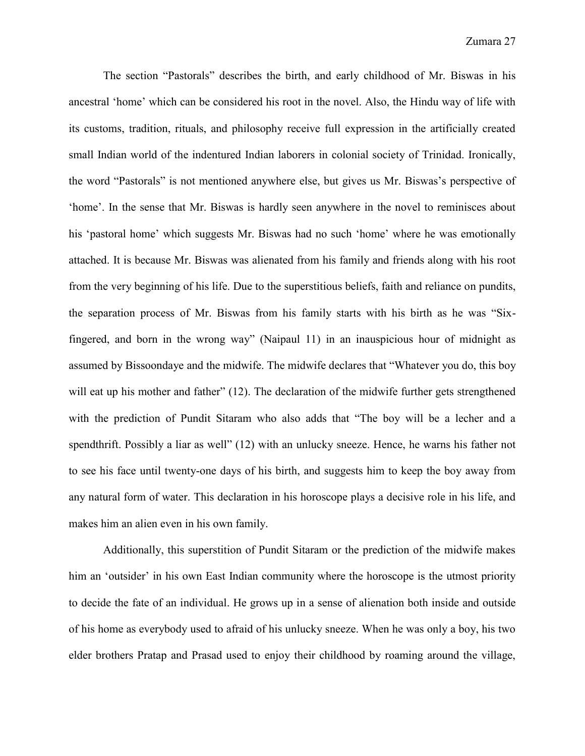The section "Pastorals" describes the birth, and early childhood of Mr. Biswas in his ancestral 'home' which can be considered his root in the novel. Also, the Hindu way of life with its customs, tradition, rituals, and philosophy receive full expression in the artificially created small Indian world of the indentured Indian laborers in colonial society of Trinidad. Ironically, the word "Pastorals" is not mentioned anywhere else, but gives us Mr. Biswas's perspective of 'home'. In the sense that Mr. Biswas is hardly seen anywhere in the novel to reminisces about his 'pastoral home' which suggests Mr. Biswas had no such 'home' where he was emotionally attached. It is because Mr. Biswas was alienated from his family and friends along with his root from the very beginning of his life. Due to the superstitious beliefs, faith and reliance on pundits, the separation process of Mr. Biswas from his family starts with his birth as he was "Sixfingered, and born in the wrong way" (Naipaul 11) in an inauspicious hour of midnight as assumed by Bissoondaye and the midwife. The midwife declares that "Whatever you do, this boy will eat up his mother and father" (12). The declaration of the midwife further gets strengthened with the prediction of Pundit Sitaram who also adds that "The boy will be a lecher and a spendthrift. Possibly a liar as well" (12) with an unlucky sneeze. Hence, he warns his father not to see his face until twenty-one days of his birth, and suggests him to keep the boy away from any natural form of water. This declaration in his horoscope plays a decisive role in his life, and makes him an alien even in his own family.

Additionally, this superstition of Pundit Sitaram or the prediction of the midwife makes him an 'outsider' in his own East Indian community where the horoscope is the utmost priority to decide the fate of an individual. He grows up in a sense of alienation both inside and outside of his home as everybody used to afraid of his unlucky sneeze. When he was only a boy, his two elder brothers Pratap and Prasad used to enjoy their childhood by roaming around the village,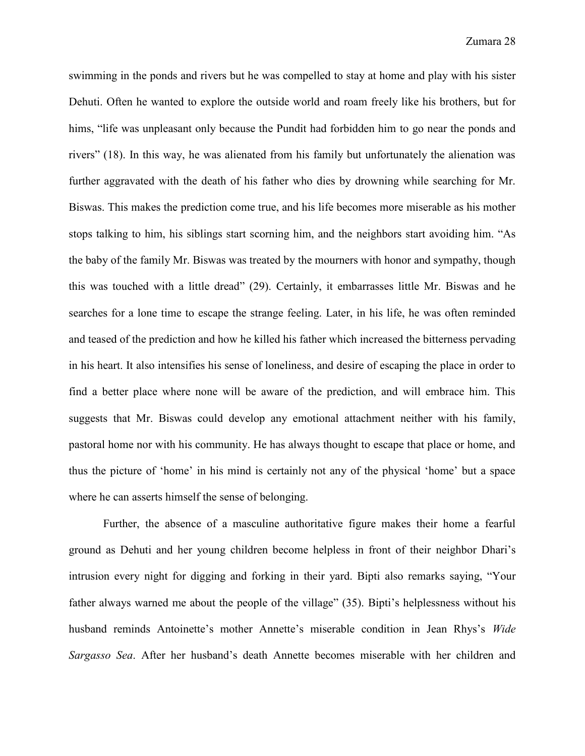swimming in the ponds and rivers but he was compelled to stay at home and play with his sister Dehuti. Often he wanted to explore the outside world and roam freely like his brothers, but for hims, "life was unpleasant only because the Pundit had forbidden him to go near the ponds and rivers" (18). In this way, he was alienated from his family but unfortunately the alienation was further aggravated with the death of his father who dies by drowning while searching for Mr. Biswas. This makes the prediction come true, and his life becomes more miserable as his mother stops talking to him, his siblings start scorning him, and the neighbors start avoiding him. "As the baby of the family Mr. Biswas was treated by the mourners with honor and sympathy, though this was touched with a little dread" (29). Certainly, it embarrasses little Mr. Biswas and he searches for a lone time to escape the strange feeling. Later, in his life, he was often reminded and teased of the prediction and how he killed his father which increased the bitterness pervading in his heart. It also intensifies his sense of loneliness, and desire of escaping the place in order to find a better place where none will be aware of the prediction, and will embrace him. This suggests that Mr. Biswas could develop any emotional attachment neither with his family, pastoral home nor with his community. He has always thought to escape that place or home, and thus the picture of 'home' in his mind is certainly not any of the physical 'home' but a space where he can asserts himself the sense of belonging.

Further, the absence of a masculine authoritative figure makes their home a fearful ground as Dehuti and her young children become helpless in front of their neighbor Dhari's intrusion every night for digging and forking in their yard. Bipti also remarks saying, "Your father always warned me about the people of the village" (35). Bipti's helplessness without his husband reminds Antoinette's mother Annette's miserable condition in Jean Rhys's *Wide Sargasso Sea*. After her husband's death Annette becomes miserable with her children and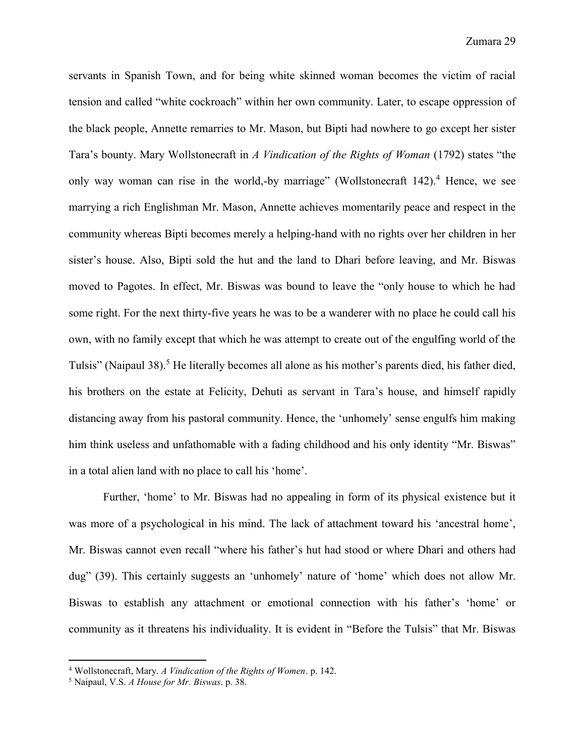servants in Spanish Town, and for being white skinned woman becomes the victim of racial tension and called "white cockroach" within her own community. Later, to escape oppression of the black people, Annette remarries to Mr. Mason, but Bipti had nowhere to go except her sister Tara's bounty. Mary Wollstonecraft in *A Vindication of the Rights of Woman* (1792) states "the only way woman can rise in the world,-by marriage" (Wollstonecraft  $142$ ).<sup>4</sup> Hence, we see marrying a rich Englishman Mr. Mason, Annette achieves momentarily peace and respect in the community whereas Bipti becomes merely a helping-hand with no rights over her children in her sister's house. Also, Bipti sold the hut and the land to Dhari before leaving, and Mr. Biswas moved to Pagotes. In effect, Mr. Biswas was bound to leave the "only house to which he had some right. For the next thirty-five years he was to be a wanderer with no place he could call his own, with no family except that which he was attempt to create out of the engulfing world of the Tulsis" (Naipaul 38).<sup>5</sup> He literally becomes all alone as his mother's parents died, his father died, his brothers on the estate at Felicity, Dehuti as servant in Tara's house, and himself rapidly distancing away from his pastoral community. Hence, the 'unhomely' sense engulfs him making him think useless and unfathomable with a fading childhood and his only identity "Mr. Biswas" in a total alien land with no place to call his 'home'.

Further, 'home' to Mr. Biswas had no appealing in form of its physical existence but it was more of a psychological in his mind. The lack of attachment toward his 'ancestral home', Mr. Biswas cannot even recall "where his father's hut had stood or where Dhari and others had dug" (39). This certainly suggests an 'unhomely' nature of 'home' which does not allow Mr. Biswas to establish any attachment or emotional connection with his father's 'home' or community as it threatens his individuality. It is evident in "Before the Tulsis" that Mr. Biswas

 $\overline{a}$ 

<sup>4</sup> Wollstonecraft, Mary. *A Vindication of the Rights of Women*. p. 142.

<sup>5</sup> Naipaul, V.S. *A House for Mr. Biswas*. p. 38.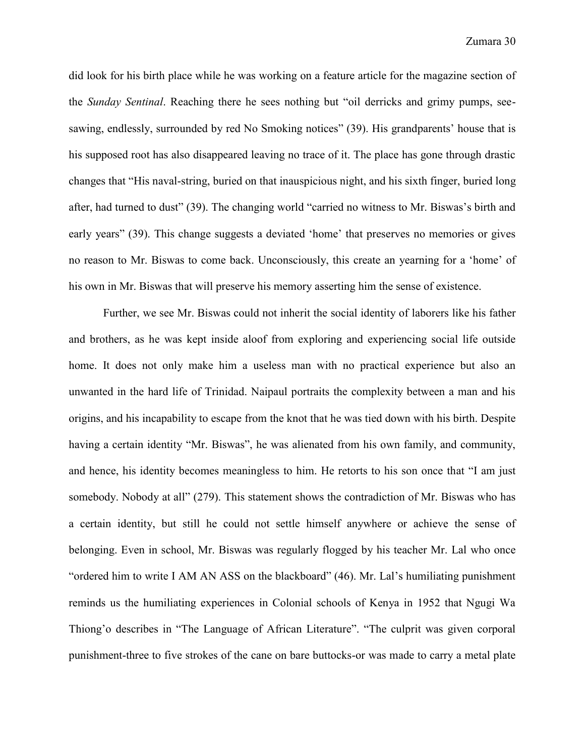did look for his birth place while he was working on a feature article for the magazine section of the *Sunday Sentinal*. Reaching there he sees nothing but "oil derricks and grimy pumps, seesawing, endlessly, surrounded by red No Smoking notices" (39). His grandparents' house that is his supposed root has also disappeared leaving no trace of it. The place has gone through drastic changes that "His naval-string, buried on that inauspicious night, and his sixth finger, buried long after, had turned to dust" (39). The changing world "carried no witness to Mr. Biswas's birth and early years" (39). This change suggests a deviated 'home' that preserves no memories or gives no reason to Mr. Biswas to come back. Unconsciously, this create an yearning for a 'home' of his own in Mr. Biswas that will preserve his memory asserting him the sense of existence.

Further, we see Mr. Biswas could not inherit the social identity of laborers like his father and brothers, as he was kept inside aloof from exploring and experiencing social life outside home. It does not only make him a useless man with no practical experience but also an unwanted in the hard life of Trinidad. Naipaul portraits the complexity between a man and his origins, and his incapability to escape from the knot that he was tied down with his birth. Despite having a certain identity "Mr. Biswas", he was alienated from his own family, and community, and hence, his identity becomes meaningless to him. He retorts to his son once that "I am just somebody. Nobody at all" (279). This statement shows the contradiction of Mr. Biswas who has a certain identity, but still he could not settle himself anywhere or achieve the sense of belonging. Even in school, Mr. Biswas was regularly flogged by his teacher Mr. Lal who once "ordered him to write I AM AN ASS on the blackboard" (46). Mr. Lal's humiliating punishment reminds us the humiliating experiences in Colonial schools of Kenya in 1952 that Ngugi Wa Thiong'o describes in "The Language of African Literature". "The culprit was given corporal punishment-three to five strokes of the cane on bare buttocks-or was made to carry a metal plate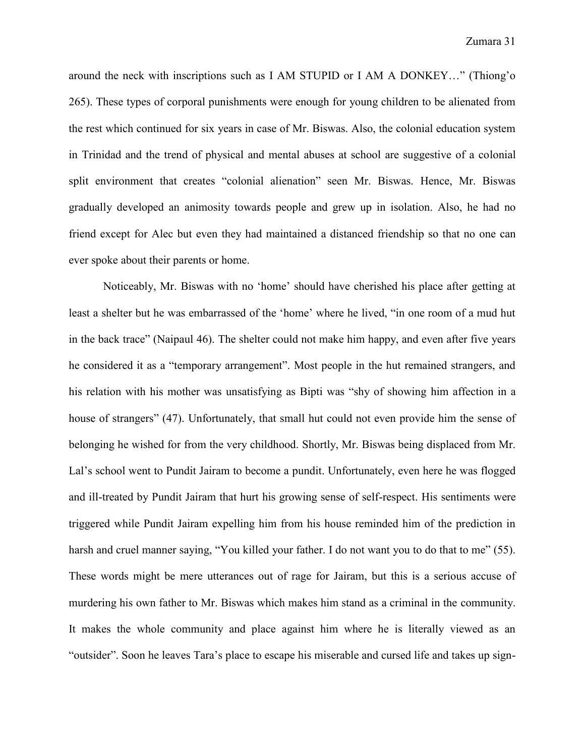around the neck with inscriptions such as I AM STUPID or I AM A DONKEY…" (Thiong'o 265). These types of corporal punishments were enough for young children to be alienated from the rest which continued for six years in case of Mr. Biswas. Also, the colonial education system in Trinidad and the trend of physical and mental abuses at school are suggestive of a colonial split environment that creates "colonial alienation" seen Mr. Biswas. Hence, Mr. Biswas gradually developed an animosity towards people and grew up in isolation. Also, he had no friend except for Alec but even they had maintained a distanced friendship so that no one can ever spoke about their parents or home.

Noticeably, Mr. Biswas with no 'home' should have cherished his place after getting at least a shelter but he was embarrassed of the 'home' where he lived, "in one room of a mud hut in the back trace" (Naipaul 46). The shelter could not make him happy, and even after five years he considered it as a "temporary arrangement". Most people in the hut remained strangers, and his relation with his mother was unsatisfying as Bipti was "shy of showing him affection in a house of strangers" (47). Unfortunately, that small hut could not even provide him the sense of belonging he wished for from the very childhood. Shortly, Mr. Biswas being displaced from Mr. Lal's school went to Pundit Jairam to become a pundit. Unfortunately, even here he was flogged and ill-treated by Pundit Jairam that hurt his growing sense of self-respect. His sentiments were triggered while Pundit Jairam expelling him from his house reminded him of the prediction in harsh and cruel manner saying, "You killed your father. I do not want you to do that to me" (55). These words might be mere utterances out of rage for Jairam, but this is a serious accuse of murdering his own father to Mr. Biswas which makes him stand as a criminal in the community. It makes the whole community and place against him where he is literally viewed as an "outsider". Soon he leaves Tara's place to escape his miserable and cursed life and takes up sign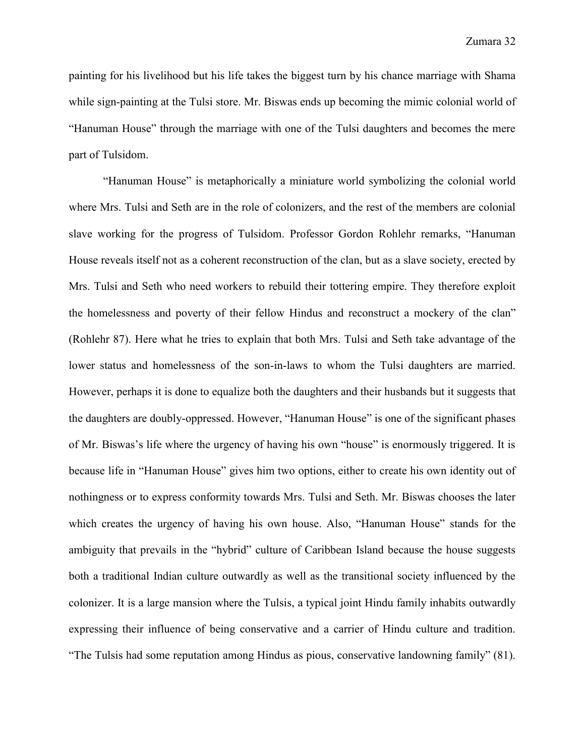painting for his livelihood but his life takes the biggest turn by his chance marriage with Shama while sign-painting at the Tulsi store. Mr. Biswas ends up becoming the mimic colonial world of "Hanuman House" through the marriage with one of the Tulsi daughters and becomes the mere part of Tulsidom.

"Hanuman House" is metaphorically a miniature world symbolizing the colonial world where Mrs. Tulsi and Seth are in the role of colonizers, and the rest of the members are colonial slave working for the progress of Tulsidom. Professor Gordon Rohlehr remarks, "Hanuman House reveals itself not as a coherent reconstruction of the clan, but as a slave society, erected by Mrs. Tulsi and Seth who need workers to rebuild their tottering empire. They therefore exploit the homelessness and poverty of their fellow Hindus and reconstruct a mockery of the clan" (Rohlehr 87). Here what he tries to explain that both Mrs. Tulsi and Seth take advantage of the lower status and homelessness of the son-in-laws to whom the Tulsi daughters are married. However, perhaps it is done to equalize both the daughters and their husbands but it suggests that the daughters are doubly-oppressed. However, "Hanuman House" is one of the significant phases of Mr. Biswas's life where the urgency of having his own "house" is enormously triggered. It is because life in "Hanuman House" gives him two options, either to create his own identity out of nothingness or to express conformity towards Mrs. Tulsi and Seth. Mr. Biswas chooses the later which creates the urgency of having his own house. Also, "Hanuman House" stands for the ambiguity that prevails in the "hybrid" culture of Caribbean Island because the house suggests both a traditional Indian culture outwardly as well as the transitional society influenced by the colonizer. It is a large mansion where the Tulsis, a typical joint Hindu family inhabits outwardly expressing their influence of being conservative and a carrier of Hindu culture and tradition. "The Tulsis had some reputation among Hindus as pious, conservative landowning family" (81).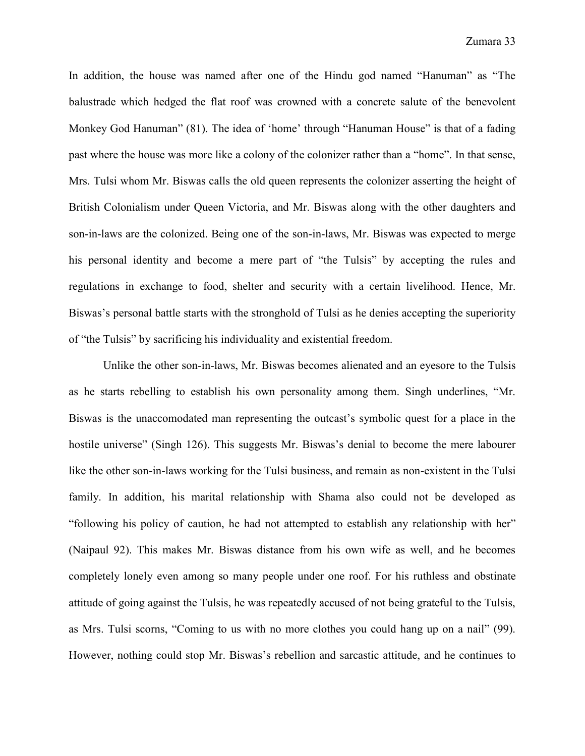In addition, the house was named after one of the Hindu god named "Hanuman" as "The balustrade which hedged the flat roof was crowned with a concrete salute of the benevolent Monkey God Hanuman" (81). The idea of 'home' through "Hanuman House" is that of a fading past where the house was more like a colony of the colonizer rather than a "home". In that sense, Mrs. Tulsi whom Mr. Biswas calls the old queen represents the colonizer asserting the height of British Colonialism under Queen Victoria, and Mr. Biswas along with the other daughters and son-in-laws are the colonized. Being one of the son-in-laws, Mr. Biswas was expected to merge his personal identity and become a mere part of "the Tulsis" by accepting the rules and regulations in exchange to food, shelter and security with a certain livelihood. Hence, Mr. Biswas's personal battle starts with the stronghold of Tulsi as he denies accepting the superiority of "the Tulsis" by sacrificing his individuality and existential freedom.

Unlike the other son-in-laws, Mr. Biswas becomes alienated and an eyesore to the Tulsis as he starts rebelling to establish his own personality among them. Singh underlines, "Mr. Biswas is the unaccomodated man representing the outcast's symbolic quest for a place in the hostile universe" (Singh 126). This suggests Mr. Biswas's denial to become the mere labourer like the other son-in-laws working for the Tulsi business, and remain as non-existent in the Tulsi family. In addition, his marital relationship with Shama also could not be developed as "following his policy of caution, he had not attempted to establish any relationship with her" (Naipaul 92). This makes Mr. Biswas distance from his own wife as well, and he becomes completely lonely even among so many people under one roof. For his ruthless and obstinate attitude of going against the Tulsis, he was repeatedly accused of not being grateful to the Tulsis, as Mrs. Tulsi scorns, "Coming to us with no more clothes you could hang up on a nail" (99). However, nothing could stop Mr. Biswas's rebellion and sarcastic attitude, and he continues to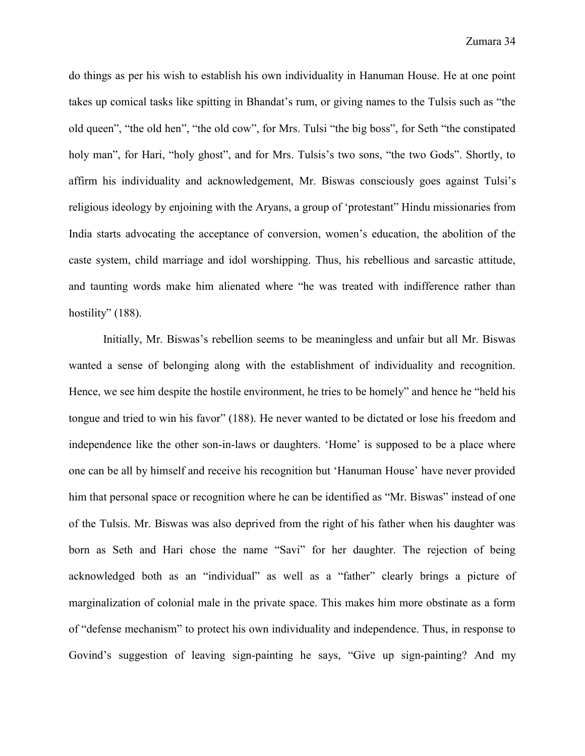do things as per his wish to establish his own individuality in Hanuman House. He at one point takes up comical tasks like spitting in Bhandat's rum, or giving names to the Tulsis such as "the old queen", "the old hen", "the old cow", for Mrs. Tulsi "the big boss", for Seth "the constipated holy man", for Hari, "holy ghost", and for Mrs. Tulsis's two sons, "the two Gods". Shortly, to affirm his individuality and acknowledgement, Mr. Biswas consciously goes against Tulsi's religious ideology by enjoining with the Aryans, a group of 'protestant" Hindu missionaries from India starts advocating the acceptance of conversion, women's education, the abolition of the caste system, child marriage and idol worshipping. Thus, his rebellious and sarcastic attitude, and taunting words make him alienated where "he was treated with indifference rather than hostility" (188).

Initially, Mr. Biswas's rebellion seems to be meaningless and unfair but all Mr. Biswas wanted a sense of belonging along with the establishment of individuality and recognition. Hence, we see him despite the hostile environment, he tries to be homely" and hence he "held his tongue and tried to win his favor" (188). He never wanted to be dictated or lose his freedom and independence like the other son-in-laws or daughters. 'Home' is supposed to be a place where one can be all by himself and receive his recognition but 'Hanuman House' have never provided him that personal space or recognition where he can be identified as "Mr. Biswas" instead of one of the Tulsis. Mr. Biswas was also deprived from the right of his father when his daughter was born as Seth and Hari chose the name "Savi" for her daughter. The rejection of being acknowledged both as an "individual" as well as a "father" clearly brings a picture of marginalization of colonial male in the private space. This makes him more obstinate as a form of "defense mechanism" to protect his own individuality and independence. Thus, in response to Govind's suggestion of leaving sign-painting he says, "Give up sign-painting? And my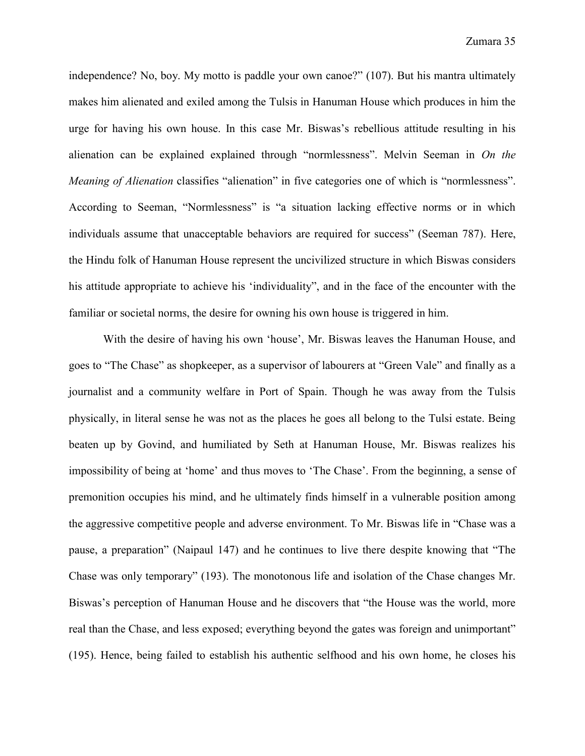independence? No, boy. My motto is paddle your own canoe?" (107). But his mantra ultimately makes him alienated and exiled among the Tulsis in Hanuman House which produces in him the urge for having his own house. In this case Mr. Biswas's rebellious attitude resulting in his alienation can be explained explained through "normlessness". Melvin Seeman in *On the Meaning of Alienation* classifies "alienation" in five categories one of which is "normlessness". According to Seeman, "Normlessness" is "a situation lacking effective norms or in which individuals assume that unacceptable behaviors are required for success" (Seeman 787). Here, the Hindu folk of Hanuman House represent the uncivilized structure in which Biswas considers his attitude appropriate to achieve his 'individuality", and in the face of the encounter with the familiar or societal norms, the desire for owning his own house is triggered in him.

With the desire of having his own 'house', Mr. Biswas leaves the Hanuman House, and goes to "The Chase" as shopkeeper, as a supervisor of labourers at "Green Vale" and finally as a journalist and a community welfare in Port of Spain. Though he was away from the Tulsis physically, in literal sense he was not as the places he goes all belong to the Tulsi estate. Being beaten up by Govind, and humiliated by Seth at Hanuman House, Mr. Biswas realizes his impossibility of being at 'home' and thus moves to 'The Chase'. From the beginning, a sense of premonition occupies his mind, and he ultimately finds himself in a vulnerable position among the aggressive competitive people and adverse environment. To Mr. Biswas life in "Chase was a pause, a preparation" (Naipaul 147) and he continues to live there despite knowing that "The Chase was only temporary" (193). The monotonous life and isolation of the Chase changes Mr. Biswas's perception of Hanuman House and he discovers that "the House was the world, more real than the Chase, and less exposed; everything beyond the gates was foreign and unimportant" (195). Hence, being failed to establish his authentic selfhood and his own home, he closes his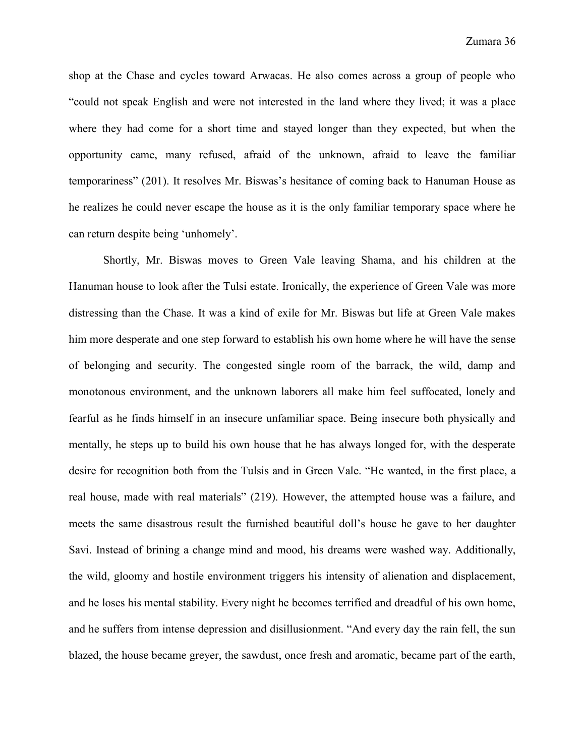shop at the Chase and cycles toward Arwacas. He also comes across a group of people who "could not speak English and were not interested in the land where they lived; it was a place where they had come for a short time and stayed longer than they expected, but when the opportunity came, many refused, afraid of the unknown, afraid to leave the familiar temporariness" (201). It resolves Mr. Biswas's hesitance of coming back to Hanuman House as he realizes he could never escape the house as it is the only familiar temporary space where he can return despite being 'unhomely'.

Shortly, Mr. Biswas moves to Green Vale leaving Shama, and his children at the Hanuman house to look after the Tulsi estate. Ironically, the experience of Green Vale was more distressing than the Chase. It was a kind of exile for Mr. Biswas but life at Green Vale makes him more desperate and one step forward to establish his own home where he will have the sense of belonging and security. The congested single room of the barrack, the wild, damp and monotonous environment, and the unknown laborers all make him feel suffocated, lonely and fearful as he finds himself in an insecure unfamiliar space. Being insecure both physically and mentally, he steps up to build his own house that he has always longed for, with the desperate desire for recognition both from the Tulsis and in Green Vale. "He wanted, in the first place, a real house, made with real materials" (219). However, the attempted house was a failure, and meets the same disastrous result the furnished beautiful doll's house he gave to her daughter Savi. Instead of brining a change mind and mood, his dreams were washed way. Additionally, the wild, gloomy and hostile environment triggers his intensity of alienation and displacement, and he loses his mental stability. Every night he becomes terrified and dreadful of his own home, and he suffers from intense depression and disillusionment. "And every day the rain fell, the sun blazed, the house became greyer, the sawdust, once fresh and aromatic, became part of the earth,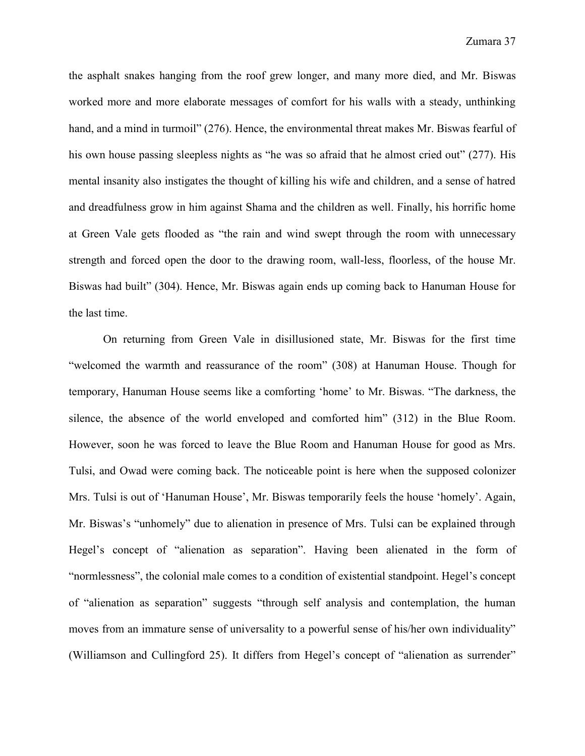the asphalt snakes hanging from the roof grew longer, and many more died, and Mr. Biswas worked more and more elaborate messages of comfort for his walls with a steady, unthinking hand, and a mind in turmoil" (276). Hence, the environmental threat makes Mr. Biswas fearful of his own house passing sleepless nights as "he was so afraid that he almost cried out" (277). His mental insanity also instigates the thought of killing his wife and children, and a sense of hatred and dreadfulness grow in him against Shama and the children as well. Finally, his horrific home at Green Vale gets flooded as "the rain and wind swept through the room with unnecessary strength and forced open the door to the drawing room, wall-less, floorless, of the house Mr. Biswas had built" (304). Hence, Mr. Biswas again ends up coming back to Hanuman House for the last time.

On returning from Green Vale in disillusioned state, Mr. Biswas for the first time "welcomed the warmth and reassurance of the room" (308) at Hanuman House. Though for temporary, Hanuman House seems like a comforting 'home' to Mr. Biswas. "The darkness, the silence, the absence of the world enveloped and comforted him" (312) in the Blue Room. However, soon he was forced to leave the Blue Room and Hanuman House for good as Mrs. Tulsi, and Owad were coming back. The noticeable point is here when the supposed colonizer Mrs. Tulsi is out of 'Hanuman House', Mr. Biswas temporarily feels the house 'homely'. Again, Mr. Biswas's "unhomely" due to alienation in presence of Mrs. Tulsi can be explained through Hegel's concept of "alienation as separation". Having been alienated in the form of "normlessness", the colonial male comes to a condition of existential standpoint. Hegel's concept of "alienation as separation" suggests "through self analysis and contemplation, the human moves from an immature sense of universality to a powerful sense of his/her own individuality" (Williamson and Cullingford 25). It differs from Hegel's concept of "alienation as surrender"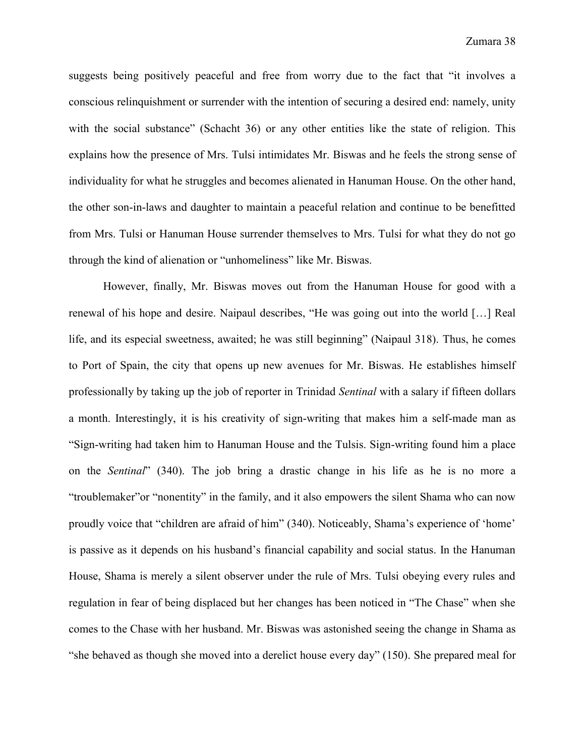suggests being positively peaceful and free from worry due to the fact that "it involves a conscious relinquishment or surrender with the intention of securing a desired end: namely, unity with the social substance" (Schacht 36) or any other entities like the state of religion. This explains how the presence of Mrs. Tulsi intimidates Mr. Biswas and he feels the strong sense of individuality for what he struggles and becomes alienated in Hanuman House. On the other hand, the other son-in-laws and daughter to maintain a peaceful relation and continue to be benefitted from Mrs. Tulsi or Hanuman House surrender themselves to Mrs. Tulsi for what they do not go through the kind of alienation or "unhomeliness" like Mr. Biswas.

However, finally, Mr. Biswas moves out from the Hanuman House for good with a renewal of his hope and desire. Naipaul describes, "He was going out into the world […] Real life, and its especial sweetness, awaited; he was still beginning" (Naipaul 318). Thus, he comes to Port of Spain, the city that opens up new avenues for Mr. Biswas. He establishes himself professionally by taking up the job of reporter in Trinidad *Sentinal* with a salary if fifteen dollars a month. Interestingly, it is his creativity of sign-writing that makes him a self-made man as "Sign-writing had taken him to Hanuman House and the Tulsis. Sign-writing found him a place on the *Sentinal*" (340). The job bring a drastic change in his life as he is no more a "troublemaker"or "nonentity" in the family, and it also empowers the silent Shama who can now proudly voice that "children are afraid of him" (340). Noticeably, Shama's experience of 'home' is passive as it depends on his husband's financial capability and social status. In the Hanuman House, Shama is merely a silent observer under the rule of Mrs. Tulsi obeying every rules and regulation in fear of being displaced but her changes has been noticed in "The Chase" when she comes to the Chase with her husband. Mr. Biswas was astonished seeing the change in Shama as "she behaved as though she moved into a derelict house every day" (150). She prepared meal for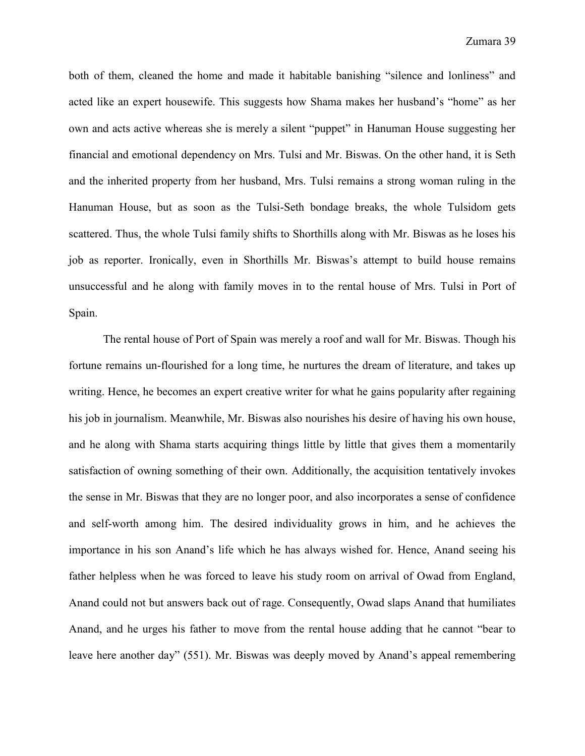both of them, cleaned the home and made it habitable banishing "silence and lonliness" and acted like an expert housewife. This suggests how Shama makes her husband's "home" as her own and acts active whereas she is merely a silent "puppet" in Hanuman House suggesting her financial and emotional dependency on Mrs. Tulsi and Mr. Biswas. On the other hand, it is Seth and the inherited property from her husband, Mrs. Tulsi remains a strong woman ruling in the Hanuman House, but as soon as the Tulsi-Seth bondage breaks, the whole Tulsidom gets scattered. Thus, the whole Tulsi family shifts to Shorthills along with Mr. Biswas as he loses his job as reporter. Ironically, even in Shorthills Mr. Biswas's attempt to build house remains unsuccessful and he along with family moves in to the rental house of Mrs. Tulsi in Port of Spain.

The rental house of Port of Spain was merely a roof and wall for Mr. Biswas. Though his fortune remains un-flourished for a long time, he nurtures the dream of literature, and takes up writing. Hence, he becomes an expert creative writer for what he gains popularity after regaining his job in journalism. Meanwhile, Mr. Biswas also nourishes his desire of having his own house, and he along with Shama starts acquiring things little by little that gives them a momentarily satisfaction of owning something of their own. Additionally, the acquisition tentatively invokes the sense in Mr. Biswas that they are no longer poor, and also incorporates a sense of confidence and self-worth among him. The desired individuality grows in him, and he achieves the importance in his son Anand's life which he has always wished for. Hence, Anand seeing his father helpless when he was forced to leave his study room on arrival of Owad from England, Anand could not but answers back out of rage. Consequently, Owad slaps Anand that humiliates Anand, and he urges his father to move from the rental house adding that he cannot "bear to leave here another day" (551). Mr. Biswas was deeply moved by Anand's appeal remembering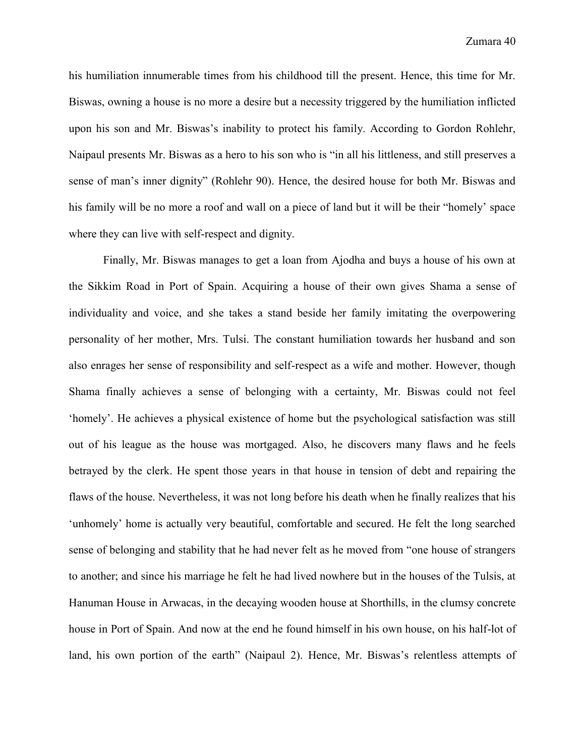his humiliation innumerable times from his childhood till the present. Hence, this time for Mr. Biswas, owning a house is no more a desire but a necessity triggered by the humiliation inflicted upon his son and Mr. Biswas's inability to protect his family. According to Gordon Rohlehr, Naipaul presents Mr. Biswas as a hero to his son who is "in all his littleness, and still preserves a sense of man's inner dignity" (Rohlehr 90). Hence, the desired house for both Mr. Biswas and his family will be no more a roof and wall on a piece of land but it will be their "homely' space where they can live with self-respect and dignity.

Finally, Mr. Biswas manages to get a loan from Ajodha and buys a house of his own at the Sikkim Road in Port of Spain. Acquiring a house of their own gives Shama a sense of individuality and voice, and she takes a stand beside her family imitating the overpowering personality of her mother, Mrs. Tulsi. The constant humiliation towards her husband and son also enrages her sense of responsibility and self-respect as a wife and mother. However, though Shama finally achieves a sense of belonging with a certainty, Mr. Biswas could not feel 'homely'. He achieves a physical existence of home but the psychological satisfaction was still out of his league as the house was mortgaged. Also, he discovers many flaws and he feels betrayed by the clerk. He spent those years in that house in tension of debt and repairing the flaws of the house. Nevertheless, it was not long before his death when he finally realizes that his 'unhomely' home is actually very beautiful, comfortable and secured. He felt the long searched sense of belonging and stability that he had never felt as he moved from "one house of strangers to another; and since his marriage he felt he had lived nowhere but in the houses of the Tulsis, at Hanuman House in Arwacas, in the decaying wooden house at Shorthills, in the clumsy concrete house in Port of Spain. And now at the end he found himself in his own house, on his half-lot of land, his own portion of the earth" (Naipaul 2). Hence, Mr. Biswas's relentless attempts of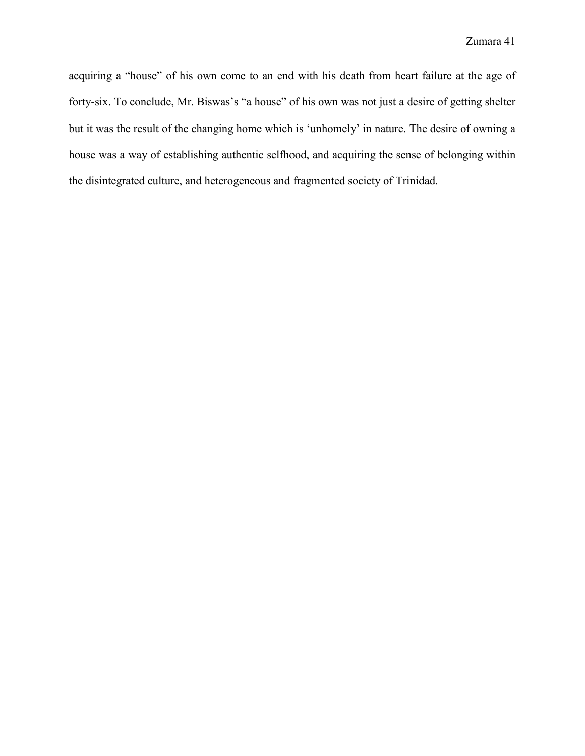acquiring a "house" of his own come to an end with his death from heart failure at the age of forty-six. To conclude, Mr. Biswas's "a house" of his own was not just a desire of getting shelter but it was the result of the changing home which is 'unhomely' in nature. The desire of owning a house was a way of establishing authentic selfhood, and acquiring the sense of belonging within the disintegrated culture, and heterogeneous and fragmented society of Trinidad.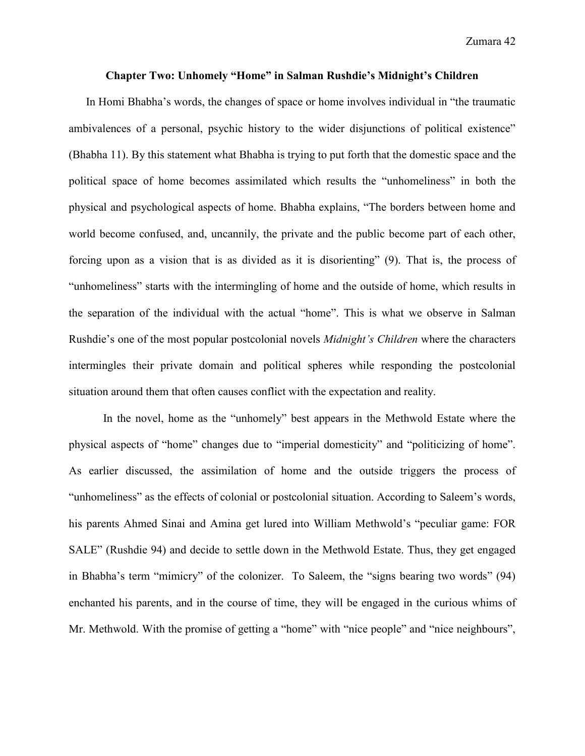Zumara 42

#### **Chapter Two: Unhomely "Home" in Salman Rushdie's Midnight's Children**

In Homi Bhabha's words, the changes of space or home involves individual in "the traumatic ambivalences of a personal, psychic history to the wider disjunctions of political existence" (Bhabha 11). By this statement what Bhabha is trying to put forth that the domestic space and the political space of home becomes assimilated which results the "unhomeliness" in both the physical and psychological aspects of home. Bhabha explains, "The borders between home and world become confused, and, uncannily, the private and the public become part of each other, forcing upon as a vision that is as divided as it is disorienting" (9). That is, the process of "unhomeliness" starts with the intermingling of home and the outside of home, which results in the separation of the individual with the actual "home". This is what we observe in Salman Rushdie's one of the most popular postcolonial novels *Midnight's Children* where the characters intermingles their private domain and political spheres while responding the postcolonial situation around them that often causes conflict with the expectation and reality.

In the novel, home as the "unhomely" best appears in the Methwold Estate where the physical aspects of "home" changes due to "imperial domesticity" and "politicizing of home". As earlier discussed, the assimilation of home and the outside triggers the process of "unhomeliness" as the effects of colonial or postcolonial situation. According to Saleem's words, his parents Ahmed Sinai and Amina get lured into William Methwold's "peculiar game: FOR SALE" (Rushdie 94) and decide to settle down in the Methwold Estate. Thus, they get engaged in Bhabha's term "mimicry" of the colonizer. To Saleem, the "signs bearing two words" (94) enchanted his parents, and in the course of time, they will be engaged in the curious whims of Mr. Methwold. With the promise of getting a "home" with "nice people" and "nice neighbours",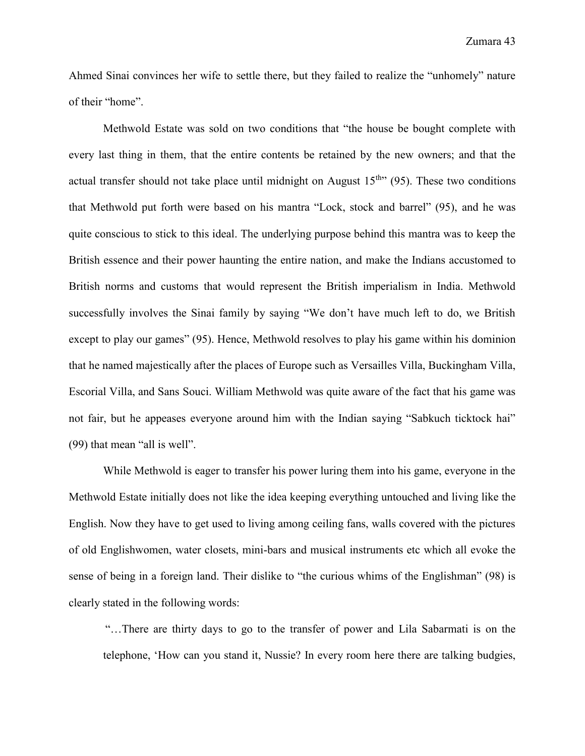Ahmed Sinai convinces her wife to settle there, but they failed to realize the "unhomely" nature of their "home".

Methwold Estate was sold on two conditions that "the house be bought complete with every last thing in them, that the entire contents be retained by the new owners; and that the actual transfer should not take place until midnight on August  $15<sup>th</sup>$  (95). These two conditions that Methwold put forth were based on his mantra "Lock, stock and barrel" (95), and he was quite conscious to stick to this ideal. The underlying purpose behind this mantra was to keep the British essence and their power haunting the entire nation, and make the Indians accustomed to British norms and customs that would represent the British imperialism in India. Methwold successfully involves the Sinai family by saying "We don't have much left to do, we British except to play our games" (95). Hence, Methwold resolves to play his game within his dominion that he named majestically after the places of Europe such as Versailles Villa, Buckingham Villa, Escorial Villa, and Sans Souci. William Methwold was quite aware of the fact that his game was not fair, but he appeases everyone around him with the Indian saying "Sabkuch ticktock hai" (99) that mean "all is well".

While Methwold is eager to transfer his power luring them into his game, everyone in the Methwold Estate initially does not like the idea keeping everything untouched and living like the English. Now they have to get used to living among ceiling fans, walls covered with the pictures of old Englishwomen, water closets, mini-bars and musical instruments etc which all evoke the sense of being in a foreign land. Their dislike to "the curious whims of the Englishman" (98) is clearly stated in the following words:

"…There are thirty days to go to the transfer of power and Lila Sabarmati is on the telephone, 'How can you stand it, Nussie? In every room here there are talking budgies,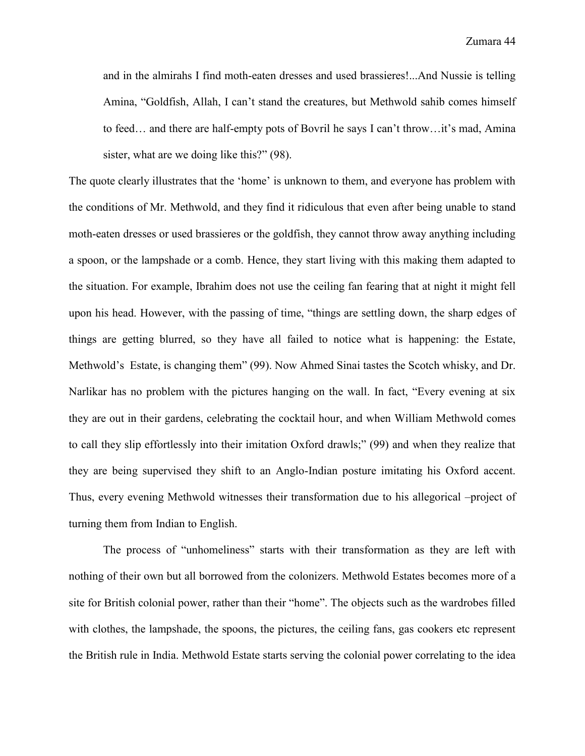and in the almirahs I find moth-eaten dresses and used brassieres!...And Nussie is telling Amina, "Goldfish, Allah, I can't stand the creatures, but Methwold sahib comes himself to feed… and there are half-empty pots of Bovril he says I can't throw…it's mad, Amina sister, what are we doing like this?" (98).

The quote clearly illustrates that the 'home' is unknown to them, and everyone has problem with the conditions of Mr. Methwold, and they find it ridiculous that even after being unable to stand moth-eaten dresses or used brassieres or the goldfish, they cannot throw away anything including a spoon, or the lampshade or a comb. Hence, they start living with this making them adapted to the situation. For example, Ibrahim does not use the ceiling fan fearing that at night it might fell upon his head. However, with the passing of time, "things are settling down, the sharp edges of things are getting blurred, so they have all failed to notice what is happening: the Estate, Methwold's Estate, is changing them" (99). Now Ahmed Sinai tastes the Scotch whisky, and Dr. Narlikar has no problem with the pictures hanging on the wall. In fact, "Every evening at six they are out in their gardens, celebrating the cocktail hour, and when William Methwold comes to call they slip effortlessly into their imitation Oxford drawls;" (99) and when they realize that they are being supervised they shift to an Anglo-Indian posture imitating his Oxford accent. Thus, every evening Methwold witnesses their transformation due to his allegorical –project of turning them from Indian to English.

The process of "unhomeliness" starts with their transformation as they are left with nothing of their own but all borrowed from the colonizers. Methwold Estates becomes more of a site for British colonial power, rather than their "home". The objects such as the wardrobes filled with clothes, the lampshade, the spoons, the pictures, the ceiling fans, gas cookers etc represent the British rule in India. Methwold Estate starts serving the colonial power correlating to the idea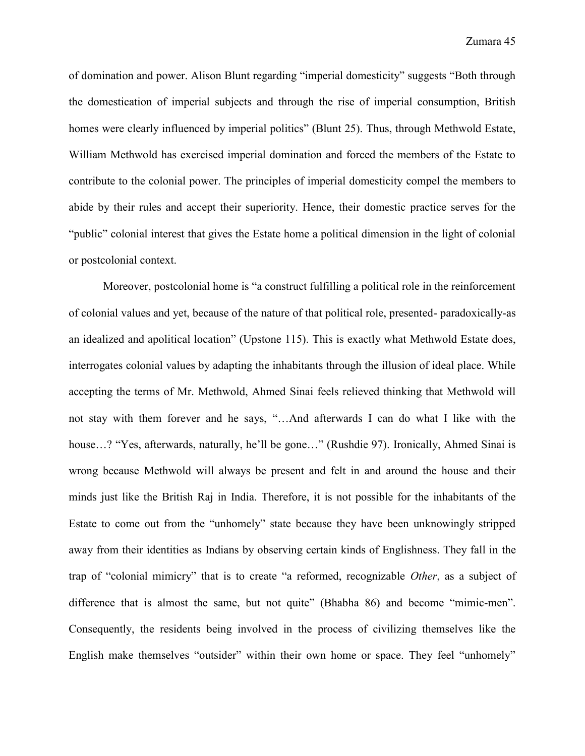of domination and power. Alison Blunt regarding "imperial domesticity" suggests "Both through the domestication of imperial subjects and through the rise of imperial consumption, British homes were clearly influenced by imperial politics" (Blunt 25). Thus, through Methwold Estate, William Methwold has exercised imperial domination and forced the members of the Estate to contribute to the colonial power. The principles of imperial domesticity compel the members to abide by their rules and accept their superiority. Hence, their domestic practice serves for the "public" colonial interest that gives the Estate home a political dimension in the light of colonial or postcolonial context.

Moreover, postcolonial home is "a construct fulfilling a political role in the reinforcement of colonial values and yet, because of the nature of that political role, presented- paradoxically-as an idealized and apolitical location" (Upstone 115). This is exactly what Methwold Estate does, interrogates colonial values by adapting the inhabitants through the illusion of ideal place. While accepting the terms of Mr. Methwold, Ahmed Sinai feels relieved thinking that Methwold will not stay with them forever and he says, "…And afterwards I can do what I like with the house…? "Yes, afterwards, naturally, he'll be gone…" (Rushdie 97). Ironically, Ahmed Sinai is wrong because Methwold will always be present and felt in and around the house and their minds just like the British Raj in India. Therefore, it is not possible for the inhabitants of the Estate to come out from the "unhomely" state because they have been unknowingly stripped away from their identities as Indians by observing certain kinds of Englishness. They fall in the trap of "colonial mimicry" that is to create "a reformed, recognizable *Other*, as a subject of difference that is almost the same, but not quite" (Bhabha 86) and become "mimic-men". Consequently, the residents being involved in the process of civilizing themselves like the English make themselves "outsider" within their own home or space. They feel "unhomely"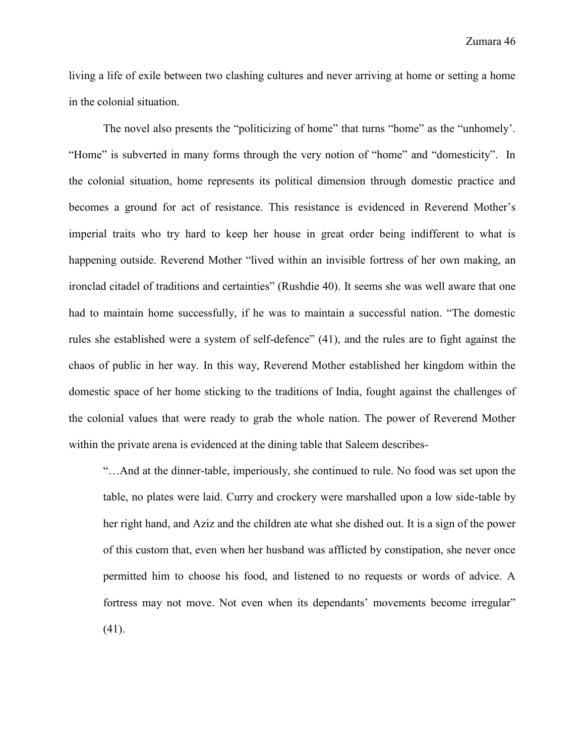living a life of exile between two clashing cultures and never arriving at home or setting a home in the colonial situation.

The novel also presents the "politicizing of home" that turns "home" as the "unhomely". "Home" is subverted in many forms through the very notion of "home" and "domesticity". In the colonial situation, home represents its political dimension through domestic practice and becomes a ground for act of resistance. This resistance is evidenced in Reverend Mother's imperial traits who try hard to keep her house in great order being indifferent to what is happening outside. Reverend Mother "lived within an invisible fortress of her own making, an ironclad citadel of traditions and certainties" (Rushdie 40). It seems she was well aware that one had to maintain home successfully, if he was to maintain a successful nation. "The domestic rules she established were a system of self-defence" (41), and the rules are to fight against the chaos of public in her way. In this way, Reverend Mother established her kingdom within the domestic space of her home sticking to the traditions of India, fought against the challenges of the colonial values that were ready to grab the whole nation. The power of Reverend Mother within the private arena is evidenced at the dining table that Saleem describes-

"…And at the dinner-table, imperiously, she continued to rule. No food was set upon the table, no plates were laid. Curry and crockery were marshalled upon a low side-table by her right hand, and Aziz and the children ate what she dished out. It is a sign of the power of this custom that, even when her husband was afflicted by constipation, she never once permitted him to choose his food, and listened to no requests or words of advice. A fortress may not move. Not even when its dependants' movements become irregular" (41).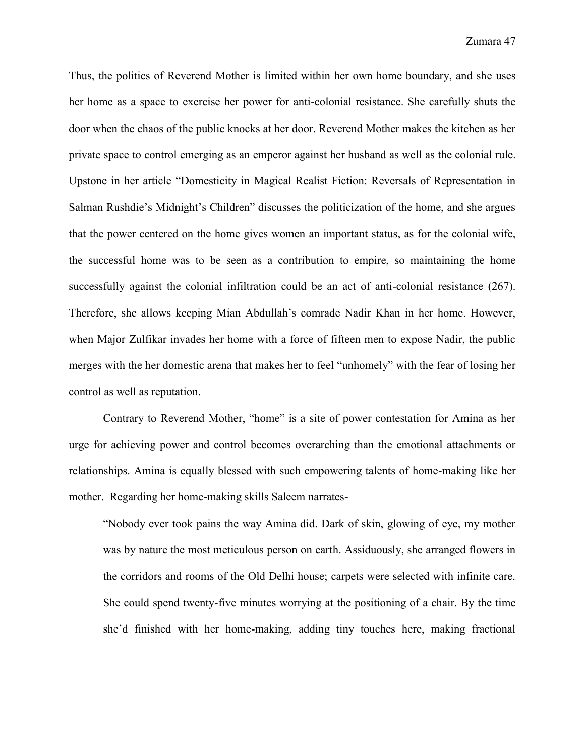Thus, the politics of Reverend Mother is limited within her own home boundary, and she uses her home as a space to exercise her power for anti-colonial resistance. She carefully shuts the door when the chaos of the public knocks at her door. Reverend Mother makes the kitchen as her private space to control emerging as an emperor against her husband as well as the colonial rule. Upstone in her article "Domesticity in Magical Realist Fiction: Reversals of Representation in Salman Rushdie's Midnight's Children" discusses the politicization of the home, and she argues that the power centered on the home gives women an important status, as for the colonial wife, the successful home was to be seen as a contribution to empire, so maintaining the home successfully against the colonial infiltration could be an act of anti-colonial resistance (267). Therefore, she allows keeping Mian Abdullah's comrade Nadir Khan in her home. However, when Major Zulfikar invades her home with a force of fifteen men to expose Nadir, the public merges with the her domestic arena that makes her to feel "unhomely" with the fear of losing her control as well as reputation.

Contrary to Reverend Mother, "home" is a site of power contestation for Amina as her urge for achieving power and control becomes overarching than the emotional attachments or relationships. Amina is equally blessed with such empowering talents of home-making like her mother. Regarding her home-making skills Saleem narrates-

"Nobody ever took pains the way Amina did. Dark of skin, glowing of eye, my mother was by nature the most meticulous person on earth. Assiduously, she arranged flowers in the corridors and rooms of the Old Delhi house; carpets were selected with infinite care. She could spend twenty-five minutes worrying at the positioning of a chair. By the time she'd finished with her home-making, adding tiny touches here, making fractional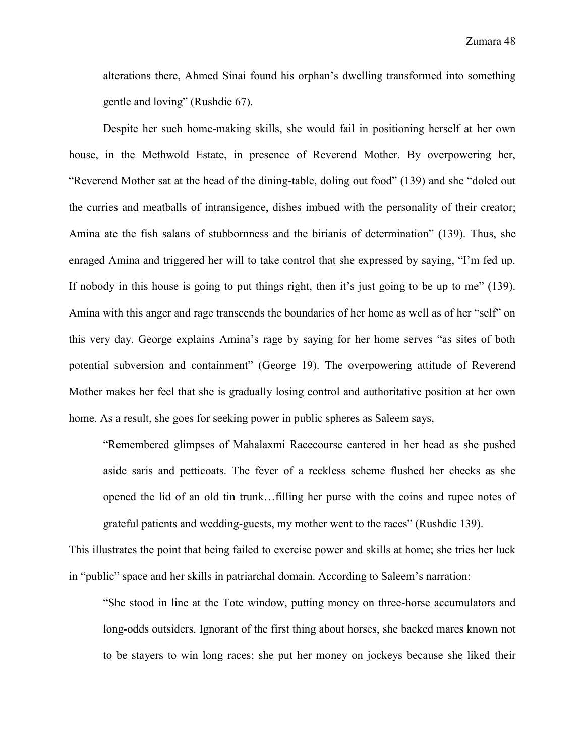alterations there, Ahmed Sinai found his orphan's dwelling transformed into something gentle and loving" (Rushdie 67).

Despite her such home-making skills, she would fail in positioning herself at her own house, in the Methwold Estate, in presence of Reverend Mother. By overpowering her, "Reverend Mother sat at the head of the dining-table, doling out food" (139) and she "doled out the curries and meatballs of intransigence, dishes imbued with the personality of their creator; Amina ate the fish salans of stubbornness and the birianis of determination" (139). Thus, she enraged Amina and triggered her will to take control that she expressed by saying, "I'm fed up. If nobody in this house is going to put things right, then it's just going to be up to me" (139). Amina with this anger and rage transcends the boundaries of her home as well as of her "self" on this very day. George explains Amina's rage by saying for her home serves "as sites of both potential subversion and containment" (George 19). The overpowering attitude of Reverend Mother makes her feel that she is gradually losing control and authoritative position at her own home. As a result, she goes for seeking power in public spheres as Saleem says,

"Remembered glimpses of Mahalaxmi Racecourse cantered in her head as she pushed aside saris and petticoats. The fever of a reckless scheme flushed her cheeks as she opened the lid of an old tin trunk…filling her purse with the coins and rupee notes of grateful patients and wedding-guests, my mother went to the races" (Rushdie 139).

This illustrates the point that being failed to exercise power and skills at home; she tries her luck in "public" space and her skills in patriarchal domain. According to Saleem's narration:

"She stood in line at the Tote window, putting money on three-horse accumulators and long-odds outsiders. Ignorant of the first thing about horses, she backed mares known not to be stayers to win long races; she put her money on jockeys because she liked their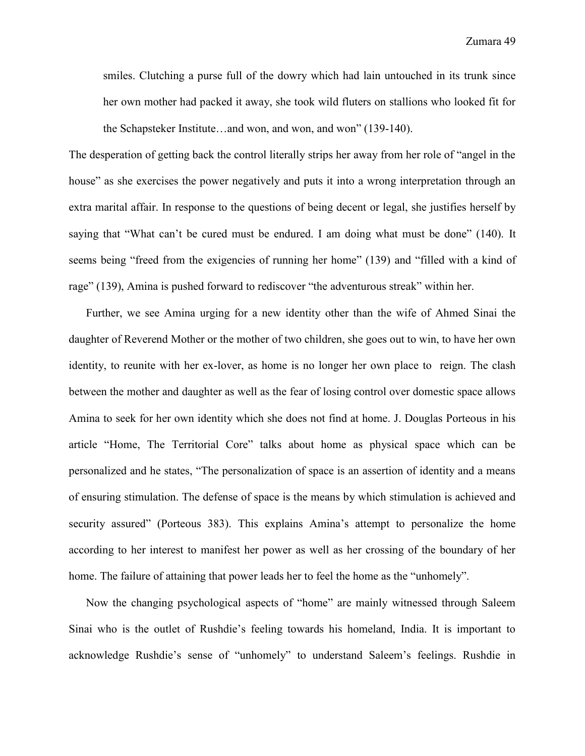smiles. Clutching a purse full of the dowry which had lain untouched in its trunk since her own mother had packed it away, she took wild fluters on stallions who looked fit for the Schapsteker Institute…and won, and won, and won" (139-140).

The desperation of getting back the control literally strips her away from her role of "angel in the house" as she exercises the power negatively and puts it into a wrong interpretation through an extra marital affair. In response to the questions of being decent or legal, she justifies herself by saying that "What can't be cured must be endured. I am doing what must be done" (140). It seems being "freed from the exigencies of running her home" (139) and "filled with a kind of rage" (139), Amina is pushed forward to rediscover "the adventurous streak" within her.

Further, we see Amina urging for a new identity other than the wife of Ahmed Sinai the daughter of Reverend Mother or the mother of two children, she goes out to win, to have her own identity, to reunite with her ex-lover, as home is no longer her own place to reign. The clash between the mother and daughter as well as the fear of losing control over domestic space allows Amina to seek for her own identity which she does not find at home. J. Douglas Porteous in his article "Home, The Territorial Core" talks about home as physical space which can be personalized and he states, "The personalization of space is an assertion of identity and a means of ensuring stimulation. The defense of space is the means by which stimulation is achieved and security assured" (Porteous 383). This explains Amina's attempt to personalize the home according to her interest to manifest her power as well as her crossing of the boundary of her home. The failure of attaining that power leads her to feel the home as the "unhomely".

Now the changing psychological aspects of "home" are mainly witnessed through Saleem Sinai who is the outlet of Rushdie's feeling towards his homeland, India. It is important to acknowledge Rushdie's sense of "unhomely" to understand Saleem's feelings. Rushdie in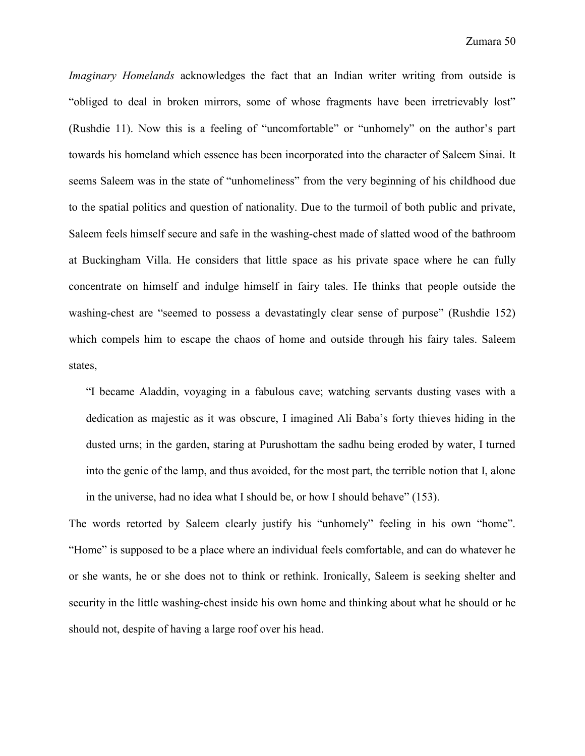*Imaginary Homelands* acknowledges the fact that an Indian writer writing from outside is "obliged to deal in broken mirrors, some of whose fragments have been irretrievably lost" (Rushdie 11). Now this is a feeling of "uncomfortable" or "unhomely" on the author's part towards his homeland which essence has been incorporated into the character of Saleem Sinai. It seems Saleem was in the state of "unhomeliness" from the very beginning of his childhood due to the spatial politics and question of nationality. Due to the turmoil of both public and private, Saleem feels himself secure and safe in the washing-chest made of slatted wood of the bathroom at Buckingham Villa. He considers that little space as his private space where he can fully concentrate on himself and indulge himself in fairy tales. He thinks that people outside the washing-chest are "seemed to possess a devastatingly clear sense of purpose" (Rushdie 152) which compels him to escape the chaos of home and outside through his fairy tales. Saleem states,

"I became Aladdin, voyaging in a fabulous cave; watching servants dusting vases with a dedication as majestic as it was obscure, I imagined Ali Baba's forty thieves hiding in the dusted urns; in the garden, staring at Purushottam the sadhu being eroded by water, I turned into the genie of the lamp, and thus avoided, for the most part, the terrible notion that I, alone in the universe, had no idea what I should be, or how I should behave" (153).

The words retorted by Saleem clearly justify his "unhomely" feeling in his own "home". "Home" is supposed to be a place where an individual feels comfortable, and can do whatever he or she wants, he or she does not to think or rethink. Ironically, Saleem is seeking shelter and security in the little washing-chest inside his own home and thinking about what he should or he should not, despite of having a large roof over his head.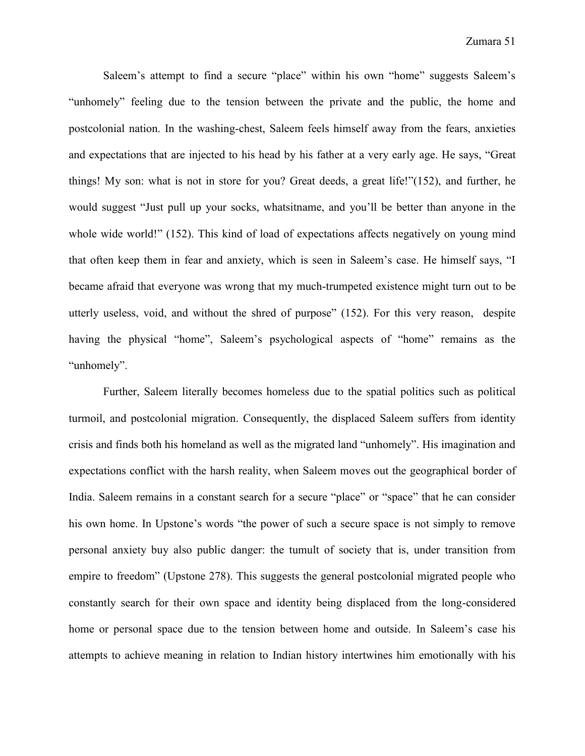Saleem's attempt to find a secure "place" within his own "home" suggests Saleem's "unhomely" feeling due to the tension between the private and the public, the home and postcolonial nation. In the washing-chest, Saleem feels himself away from the fears, anxieties and expectations that are injected to his head by his father at a very early age. He says, "Great things! My son: what is not in store for you? Great deeds, a great life!"(152), and further, he would suggest "Just pull up your socks, whatsitname, and you'll be better than anyone in the whole wide world!" (152). This kind of load of expectations affects negatively on young mind that often keep them in fear and anxiety, which is seen in Saleem's case. He himself says, "I became afraid that everyone was wrong that my much-trumpeted existence might turn out to be utterly useless, void, and without the shred of purpose" (152). For this very reason, despite having the physical "home", Saleem's psychological aspects of "home" remains as the "unhomely".

Further, Saleem literally becomes homeless due to the spatial politics such as political turmoil, and postcolonial migration. Consequently, the displaced Saleem suffers from identity crisis and finds both his homeland as well as the migrated land "unhomely". His imagination and expectations conflict with the harsh reality, when Saleem moves out the geographical border of India. Saleem remains in a constant search for a secure "place" or "space" that he can consider his own home. In Upstone's words "the power of such a secure space is not simply to remove personal anxiety buy also public danger: the tumult of society that is, under transition from empire to freedom" (Upstone 278). This suggests the general postcolonial migrated people who constantly search for their own space and identity being displaced from the long-considered home or personal space due to the tension between home and outside. In Saleem's case his attempts to achieve meaning in relation to Indian history intertwines him emotionally with his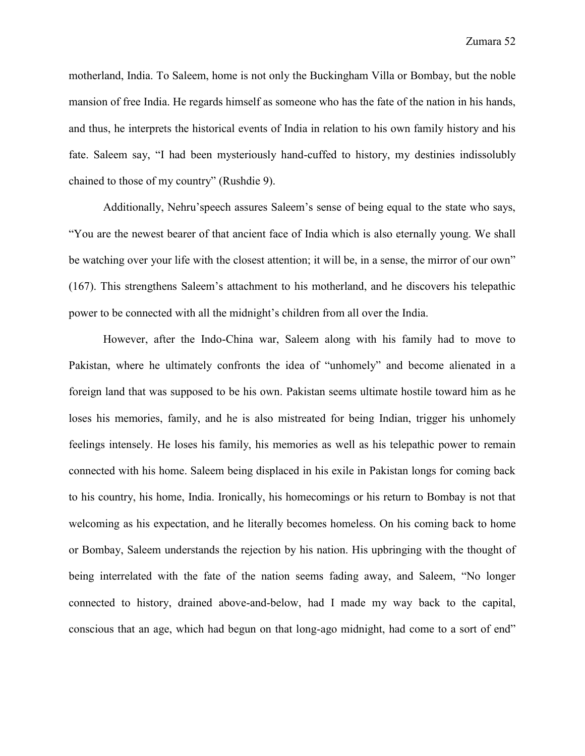motherland, India. To Saleem, home is not only the Buckingham Villa or Bombay, but the noble mansion of free India. He regards himself as someone who has the fate of the nation in his hands, and thus, he interprets the historical events of India in relation to his own family history and his fate. Saleem say, "I had been mysteriously hand-cuffed to history, my destinies indissolubly chained to those of my country" (Rushdie 9).

Additionally, Nehru'speech assures Saleem's sense of being equal to the state who says, "You are the newest bearer of that ancient face of India which is also eternally young. We shall be watching over your life with the closest attention; it will be, in a sense, the mirror of our own" (167). This strengthens Saleem's attachment to his motherland, and he discovers his telepathic power to be connected with all the midnight's children from all over the India.

However, after the Indo-China war, Saleem along with his family had to move to Pakistan, where he ultimately confronts the idea of "unhomely" and become alienated in a foreign land that was supposed to be his own. Pakistan seems ultimate hostile toward him as he loses his memories, family, and he is also mistreated for being Indian, trigger his unhomely feelings intensely. He loses his family, his memories as well as his telepathic power to remain connected with his home. Saleem being displaced in his exile in Pakistan longs for coming back to his country, his home, India. Ironically, his homecomings or his return to Bombay is not that welcoming as his expectation, and he literally becomes homeless. On his coming back to home or Bombay, Saleem understands the rejection by his nation. His upbringing with the thought of being interrelated with the fate of the nation seems fading away, and Saleem, "No longer connected to history, drained above-and-below, had I made my way back to the capital, conscious that an age, which had begun on that long-ago midnight, had come to a sort of end"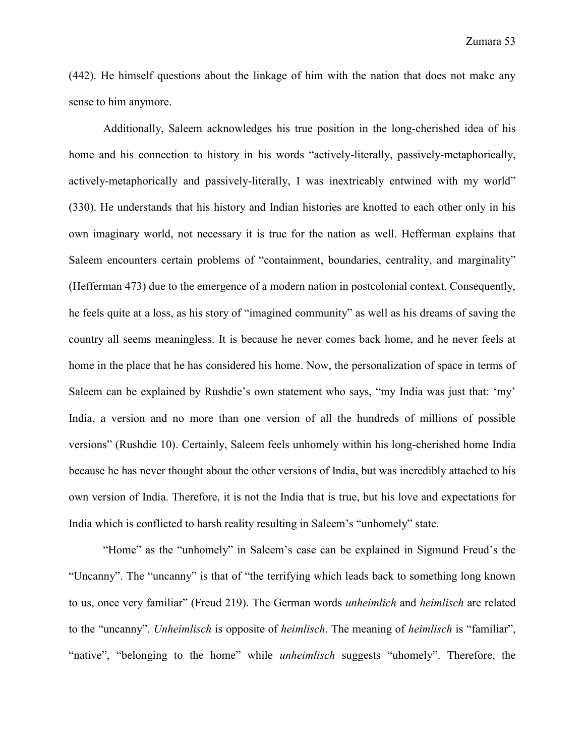(442). He himself questions about the linkage of him with the nation that does not make any sense to him anymore.

Additionally, Saleem acknowledges his true position in the long-cherished idea of his home and his connection to history in his words "actively-literally, passively-metaphorically, actively-metaphorically and passively-literally, I was inextricably entwined with my world" (330). He understands that his history and Indian histories are knotted to each other only in his own imaginary world, not necessary it is true for the nation as well. Hefferman explains that Saleem encounters certain problems of "containment, boundaries, centrality, and marginality" (Hefferman 473) due to the emergence of a modern nation in postcolonial context. Consequently, he feels quite at a loss, as his story of "imagined community" as well as his dreams of saving the country all seems meaningless. It is because he never comes back home, and he never feels at home in the place that he has considered his home. Now, the personalization of space in terms of Saleem can be explained by Rushdie's own statement who says, "my India was just that: 'my' India, a version and no more than one version of all the hundreds of millions of possible versions" (Rushdie 10). Certainly, Saleem feels unhomely within his long-cherished home India because he has never thought about the other versions of India, but was incredibly attached to his own version of India. Therefore, it is not the India that is true, but his love and expectations for India which is conflicted to harsh reality resulting in Saleem's "unhomely" state.

"Home" as the "unhomely" in Saleem's case can be explained in Sigmund Freud's the "Uncanny". The "uncanny" is that of "the terrifying which leads back to something long known to us, once very familiar" (Freud 219). The German words *unheimlich* and *heimlisch* are related to the "uncanny". *Unheimlisch* is opposite of *heimlisch*. The meaning of *heimlisch* is "familiar", "native", "belonging to the home" while *unheimlisch* suggests "uhomely". Therefore, the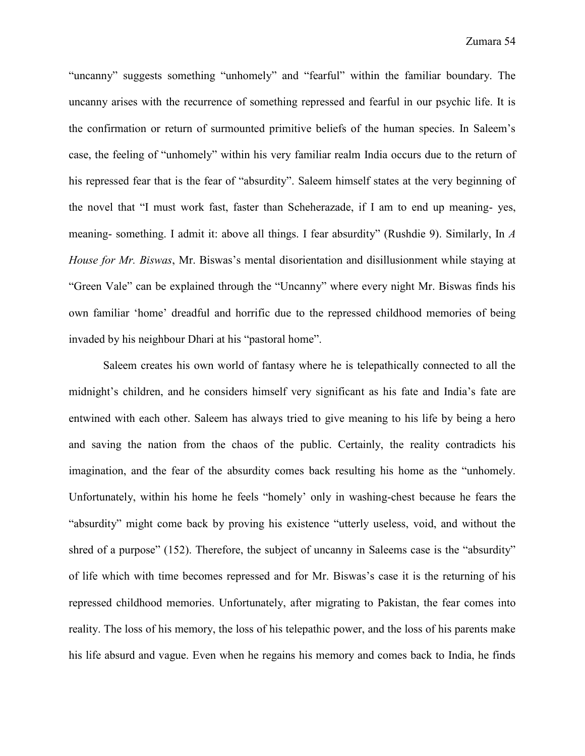"uncanny" suggests something "unhomely" and "fearful" within the familiar boundary. The uncanny arises with the recurrence of something repressed and fearful in our psychic life. It is the confirmation or return of surmounted primitive beliefs of the human species. In Saleem's case, the feeling of "unhomely" within his very familiar realm India occurs due to the return of his repressed fear that is the fear of "absurdity". Saleem himself states at the very beginning of the novel that "I must work fast, faster than Scheherazade, if I am to end up meaning- yes, meaning- something. I admit it: above all things. I fear absurdity" (Rushdie 9). Similarly, In *A House for Mr. Biswas*, Mr. Biswas's mental disorientation and disillusionment while staying at "Green Vale" can be explained through the "Uncanny" where every night Mr. Biswas finds his own familiar 'home' dreadful and horrific due to the repressed childhood memories of being invaded by his neighbour Dhari at his "pastoral home".

Saleem creates his own world of fantasy where he is telepathically connected to all the midnight's children, and he considers himself very significant as his fate and India's fate are entwined with each other. Saleem has always tried to give meaning to his life by being a hero and saving the nation from the chaos of the public. Certainly, the reality contradicts his imagination, and the fear of the absurdity comes back resulting his home as the "unhomely. Unfortunately, within his home he feels "homely' only in washing-chest because he fears the "absurdity" might come back by proving his existence "utterly useless, void, and without the shred of a purpose" (152). Therefore, the subject of uncanny in Saleems case is the "absurdity" of life which with time becomes repressed and for Mr. Biswas's case it is the returning of his repressed childhood memories. Unfortunately, after migrating to Pakistan, the fear comes into reality. The loss of his memory, the loss of his telepathic power, and the loss of his parents make his life absurd and vague. Even when he regains his memory and comes back to India, he finds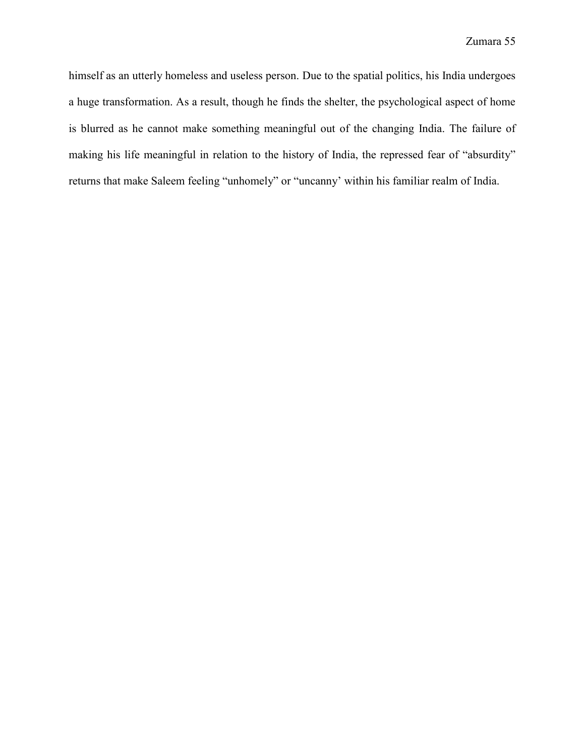himself as an utterly homeless and useless person. Due to the spatial politics, his India undergoes a huge transformation. As a result, though he finds the shelter, the psychological aspect of home is blurred as he cannot make something meaningful out of the changing India. The failure of making his life meaningful in relation to the history of India, the repressed fear of "absurdity" returns that make Saleem feeling "unhomely" or "uncanny' within his familiar realm of India.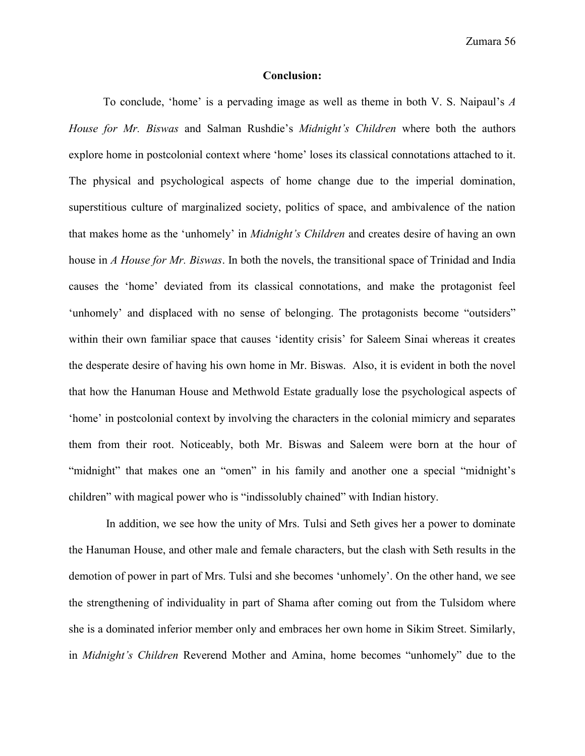#### **Conclusion:**

To conclude, 'home' is a pervading image as well as theme in both V. S. Naipaul's *A House for Mr. Biswas* and Salman Rushdie's *Midnight's Children* where both the authors explore home in postcolonial context where 'home' loses its classical connotations attached to it. The physical and psychological aspects of home change due to the imperial domination, superstitious culture of marginalized society, politics of space, and ambivalence of the nation that makes home as the 'unhomely' in *Midnight's Children* and creates desire of having an own house in *A House for Mr. Biswas*. In both the novels, the transitional space of Trinidad and India causes the 'home' deviated from its classical connotations, and make the protagonist feel 'unhomely' and displaced with no sense of belonging. The protagonists become "outsiders" within their own familiar space that causes 'identity crisis' for Saleem Sinai whereas it creates the desperate desire of having his own home in Mr. Biswas. Also, it is evident in both the novel that how the Hanuman House and Methwold Estate gradually lose the psychological aspects of 'home' in postcolonial context by involving the characters in the colonial mimicry and separates them from their root. Noticeably, both Mr. Biswas and Saleem were born at the hour of "midnight" that makes one an "omen" in his family and another one a special "midnight's children" with magical power who is "indissolubly chained" with Indian history.

In addition, we see how the unity of Mrs. Tulsi and Seth gives her a power to dominate the Hanuman House, and other male and female characters, but the clash with Seth results in the demotion of power in part of Mrs. Tulsi and she becomes 'unhomely'. On the other hand, we see the strengthening of individuality in part of Shama after coming out from the Tulsidom where she is a dominated inferior member only and embraces her own home in Sikim Street. Similarly, in *Midnight's Children* Reverend Mother and Amina, home becomes "unhomely" due to the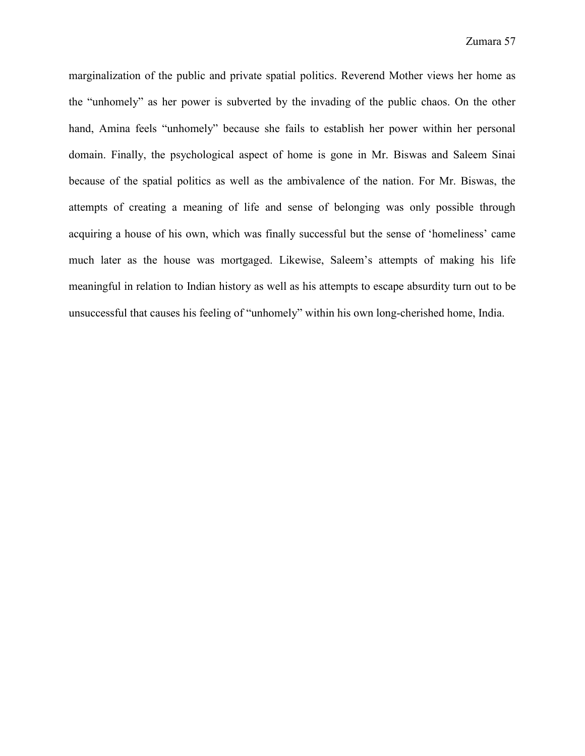marginalization of the public and private spatial politics. Reverend Mother views her home as the "unhomely" as her power is subverted by the invading of the public chaos. On the other hand, Amina feels "unhomely" because she fails to establish her power within her personal domain. Finally, the psychological aspect of home is gone in Mr. Biswas and Saleem Sinai because of the spatial politics as well as the ambivalence of the nation. For Mr. Biswas, the attempts of creating a meaning of life and sense of belonging was only possible through acquiring a house of his own, which was finally successful but the sense of 'homeliness' came much later as the house was mortgaged. Likewise, Saleem's attempts of making his life meaningful in relation to Indian history as well as his attempts to escape absurdity turn out to be unsuccessful that causes his feeling of "unhomely" within his own long-cherished home, India.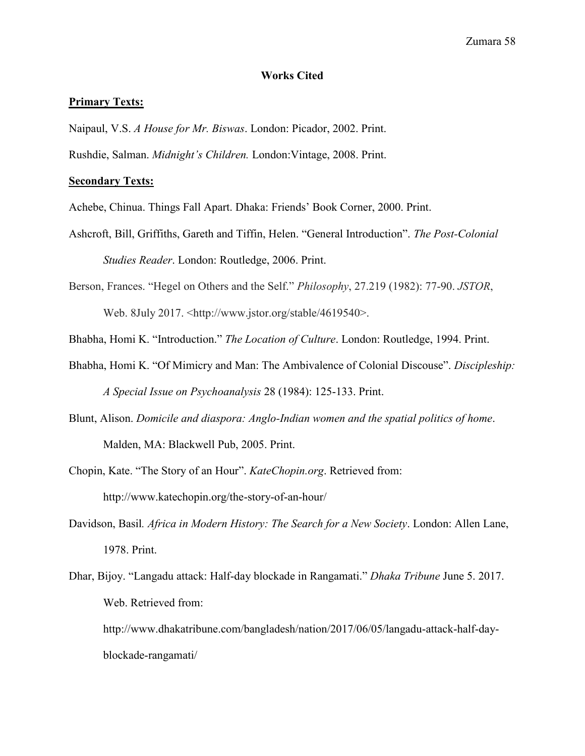#### **Works Cited**

#### **Primary Texts:**

Naipaul, V.S. *A House for Mr. Biswas*. London: Picador, 2002. Print.

Rushdie, Salman. *Midnight's Children.* London:Vintage, 2008. Print.

### **Secondary Texts:**

Achebe, Chinua. Things Fall Apart. Dhaka: Friends' Book Corner, 2000. Print.

Ashcroft, Bill, Griffiths, Gareth and Tiffin, Helen. "General Introduction". *The Post-Colonial Studies Reader*. London: Routledge, 2006. Print.

Berson, Frances. "Hegel on Others and the Self." *Philosophy*, 27.219 (1982): 77-90. *JSTOR*, Web. 8July 2017. <http://www.jstor.org/stable/4619540>.

Bhabha, Homi K. "Introduction." *The Location of Culture*. London: Routledge, 1994. Print.

- Bhabha, Homi K. "Of Mimicry and Man: The Ambivalence of Colonial Discouse". *Discipleship: A Special Issue on Psychoanalysis* 28 (1984): 125-133. Print.
- Blunt, Alison. *Domicile and diaspora: Anglo-Indian women and the spatial politics of home*. Malden, MA: Blackwell Pub, 2005. Print.

Chopin, Kate. "The Story of an Hour". *KateChopin.org*. Retrieved from: http://www.katechopin.org/the-story-of-an-hour/

- Davidson, Basil*. Africa in Modern History: The Search for a New Society*. London: Allen Lane, 1978. Print.
- Dhar, Bijoy. "Langadu attack: Half-day blockade in Rangamati." *Dhaka Tribune* June 5. 2017. Web. Retrieved from:

http://www.dhakatribune.com/bangladesh/nation/2017/06/05/langadu-attack-half-dayblockade-rangamati/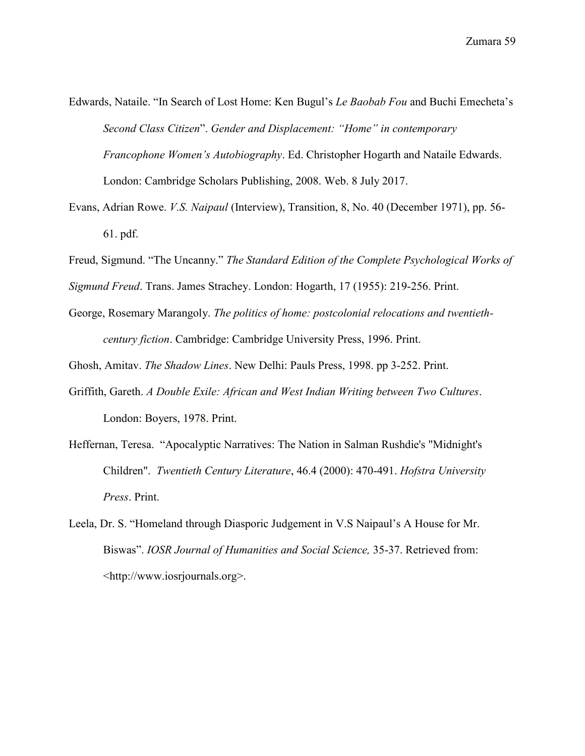- Edwards, Nataile. "In Search of Lost Home: Ken Bugul's *Le Baobab Fou* and Buchi Emecheta's *Second Class Citizen*". *Gender and Displacement: "Home" in contemporary Francophone Women's Autobiography*. Ed. Christopher Hogarth and Nataile Edwards. London: Cambridge Scholars Publishing, 2008. Web. 8 July 2017.
- Evans, Adrian Rowe. *V.S. Naipaul* (Interview), Transition, 8, No. 40 (December 1971), pp. 56- 61. pdf.
- Freud, Sigmund. "The Uncanny." *The Standard Edition of the Complete Psychological Works of*
- *Sigmund Freud*. Trans. James Strachey. London: Hogarth, 17 (1955): 219-256. Print.
- George, Rosemary Marangoly. *The politics of home: postcolonial relocations and twentiethcentury fiction*. Cambridge: Cambridge University Press, 1996. Print.
- Ghosh, Amitav. *The Shadow Lines*. New Delhi: Pauls Press, 1998. pp 3-252. Print.
- Griffith, Gareth. *A Double Exile: African and West Indian Writing between Two Cultures*. London: Boyers, 1978. Print.
- Heffernan, Teresa. "Apocalyptic Narratives: The Nation in Salman Rushdie's "Midnight's Children". *Twentieth Century Literature*, 46.4 (2000): 470-491. *Hofstra University Press*. Print.
- Leela, Dr. S. "Homeland through Diasporic Judgement in V.S Naipaul's A House for Mr. Biswas". *IOSR Journal of Humanities and Social Science,* 35-37. Retrieved from: <http://www.iosrjournals.org>.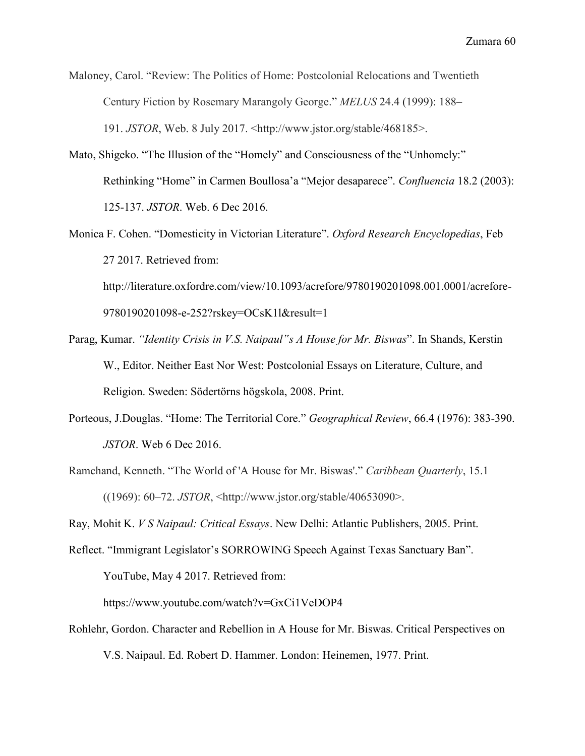Maloney, Carol. "Review: The Politics of Home: Postcolonial Relocations and Twentieth Century Fiction by Rosemary Marangoly George." *MELUS* 24.4 (1999): 188– 191. *JSTOR*, Web. 8 July 2017. <http://www.jstor.org/stable/468185>.

- Mato, Shigeko. "The Illusion of the "Homely" and Consciousness of the "Unhomely:" Rethinking "Home" in Carmen Boullosa'a "Mejor desaparece". *Confluencia* 18.2 (2003): 125-137. *JSTOR*. Web. 6 Dec 2016.
- Monica F. Cohen. "Domesticity in Victorian Literature". *Oxford Research Encyclopedias*, Feb 27 2017. Retrieved from: http://literature.oxfordre.com/view/10.1093/acrefore/9780190201098.001.0001/acrefore-9780190201098-e-252?rskey=OCsK1l&result=1
- Parag, Kumar. *"Identity Crisis in V.S. Naipaul"s A House for Mr. Biswas*". In Shands, Kerstin W., Editor. Neither East Nor West: Postcolonial Essays on Literature, Culture, and Religion. Sweden: Södertörns högskola, 2008. Print.
- Porteous, J.Douglas. "Home: The Territorial Core." *Geographical Review*, 66.4 (1976): 383-390. *JSTOR*. Web 6 Dec 2016.
- Ramchand, Kenneth. "The World of 'A House for Mr. Biswas'." *Caribbean Quarterly*, 15.1 ((1969): 60–72. *JSTOR*, <http://www.jstor.org/stable/40653090>.

Ray, Mohit K. *V S Naipaul: Critical Essays*. New Delhi: Atlantic Publishers, 2005. Print.

Reflect. "Immigrant Legislator's SORROWING Speech Against Texas Sanctuary Ban".

YouTube, May 4 2017. Retrieved from:

https://www.youtube.com/watch?v=GxCi1VeDOP4

Rohlehr, Gordon. Character and Rebellion in A House for Mr. Biswas. Critical Perspectives on V.S. Naipaul. Ed. Robert D. Hammer. London: Heinemen, 1977. Print.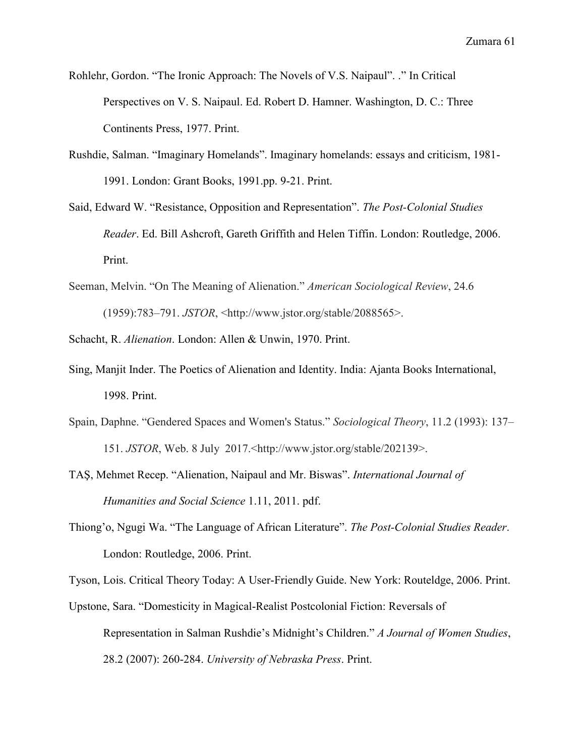- Rohlehr, Gordon. "The Ironic Approach: The Novels of V.S. Naipaul". ." In Critical Perspectives on V. S. Naipaul. Ed. Robert D. Hamner. Washington, D. C.: Three Continents Press, 1977. Print.
- Rushdie, Salman. "Imaginary Homelands". Imaginary homelands: essays and criticism, 1981- 1991. London: Grant Books, 1991.pp. 9-21. Print.
- Said, Edward W. "Resistance, Opposition and Representation". *The Post-Colonial Studies Reader*. Ed. Bill Ashcroft, Gareth Griffith and Helen Tiffin. London: Routledge, 2006. Print.
- Seeman, Melvin. "On The Meaning of Alienation." *American Sociological Review*, 24.6 (1959):783–791. *JSTOR*, <http://www.jstor.org/stable/2088565>.
- Schacht, R. *Alienation*. London: Allen & Unwin, 1970. Print.
- Sing, Manjit Inder. The Poetics of Alienation and Identity. India: Ajanta Books International, 1998. Print.
- Spain, Daphne. "Gendered Spaces and Women's Status." *Sociological Theory*, 11.2 (1993): 137– 151. *JSTOR*, Web. 8 July 2017.<http://www.jstor.org/stable/202139>.
- TAŞ, Mehmet Recep. "Alienation, Naipaul and Mr. Biswas". *International Journal of Humanities and Social Science* 1.11, 2011. pdf.
- Thiong'o, Ngugi Wa. "The Language of African Literature". *The Post-Colonial Studies Reader*. London: Routledge, 2006. Print.

Tyson, Lois. Critical Theory Today: A User-Friendly Guide. New York: Routeldge, 2006. Print.

Upstone, Sara. "Domesticity in Magical-Realist Postcolonial Fiction: Reversals of Representation in Salman Rushdie's Midnight's Children." *A Journal of Women Studies*, 28.2 (2007): 260-284. *University of Nebraska Press*. Print.